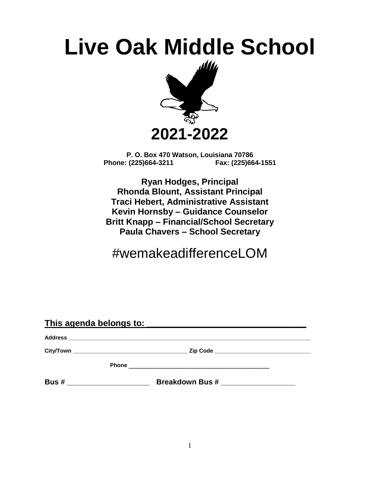# **Live Oak Middle School**



**P. O. Box 470 Watson, Louisiana 70786 Phone: (225)664-3211 Fax: (225)664-1551**

**Ryan Hodges, Principal Rhonda Blount, Assistant Principal Traci Hebert, Administrative Assistant Kevin Hornsby – Guidance Counselor Britt Knapp – Financial/School Secretary Paula Chavers – School Secretary**

## #wemakeadifferenceLOM

| This agenda belongs to: |  |                                                  |  |  |
|-------------------------|--|--------------------------------------------------|--|--|
|                         |  |                                                  |  |  |
|                         |  |                                                  |  |  |
|                         |  | Phone <u>___________________________________</u> |  |  |
| Bus#                    |  | <b>Breakdown Bus #</b>                           |  |  |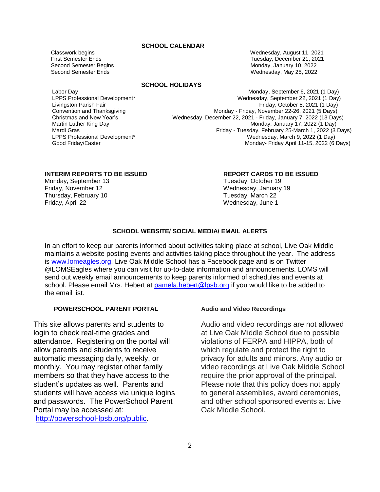### **SCHOOL CALENDAR**

 Classwork begins Wednesday, August 11, 2021 First Semester Ends Tuesday, December 21, 2021 Second Semester Begins **Monday, January 10, 2022** Second Semester Ends Wednesday, May 25, 2022

### **SCHOOL HOLIDAYS**

### Labor Day Monday, September 6, 2021 (1 Day) LPPS Professional Development\* Wednesday, September 22, 2021 (1 Day) Livingston Parish Fair Friday, October 8, 2021 (1 Day) Convention and Thanksgiving Thanksgiving Thanksgiving Monday - Friday, November 22-26, 2021 (5 Days) Christmas and New Year's Wednesday, December 22, 2021 - Friday, January 7, 2022 (13 Days) Martin Luther King Day **Monday, January 17, 2022 (1 Day)** Monday, January 17, 2022 (1 Day) Mardi Gras **Friday - Tuesday, February 25-March 1, 2022 (3 Days)**<br>LPPS Professional Development<sup>\*</sup> The Superint of the Mednesday, March 9, 2022 (1 Day) Wednesday, March 9, 2022 (1 Day) Good Friday/Easter **Monday- Friday April 11-15, 2022 (6 Days)** Monday- Friday April 11-15, 2022 (6 Days)

Monday, September 13 Tuesday, October 19 Friday, November 12 Wednesday, January 19 Thursday, February 10 Tuesday, March 22 Friday, April 22 Wednesday, June 1

### **INTERIM REPORTS TO BE ISSUED REPORT CARDS TO BE ISSUED**

### **SCHOOL WEBSITE/ SOCIAL MEDIA/ EMAIL ALERTS**

In an effort to keep our parents informed about activities taking place at school, Live Oak Middle maintains a website posting events and activities taking place throughout the year. The address is [www.lomeagles.org.](http://www.lomeagles.org/) Live Oak Middle School has a Facebook page and is on Twitter @LOMSEagles where you can visit for up-to-date information and announcements. LOMS will send out weekly email announcements to keep parents informed of schedules and events at school. Please email Mrs. Hebert at [pamela.hebert@lpsb.org](mailto:pamela.hebert@lpsb.org) if you would like to be added to the email list.

### **POWERSCHOOL PARENT PORTAL**

This site allows parents and students to login to check real-time grades and attendance. Registering on the portal will allow parents and students to receive automatic messaging daily, weekly, or monthly. You may register other family members so that they have access to the student's updates as well. Parents and students will have access via unique logins and passwords. The PowerSchool Parent Portal may be accessed at:

[http://powerschool-lpsb.org/public.](http://powerschool-lpsb.org/public)

### **Audio and Video Recordings**

Audio and video recordings are not allowed at Live Oak Middle School due to possible violations of FERPA and HIPPA, both of which regulate and protect the right to privacy for adults and minors. Any audio or video recordings at Live Oak Middle School require the prior approval of the principal. Please note that this policy does not apply to general assemblies, award ceremonies, and other school sponsored events at Live Oak Middle School.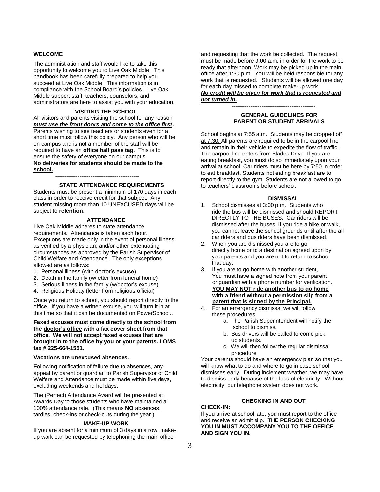#### **WELCOME**

The administration and staff would like to take this opportunity to welcome you to Live Oak Middle. This handbook has been carefully prepared to help you succeed at Live Oak Middle. This information is in compliance with the School Board's policies. Live Oak Middle support staff, teachers, counselors, and administrators are here to assist you with your education.

#### **VISITING THE SCHOOL**

All visitors and parents visiting the school for any reason *must use the front doors and come to the office first***.** Parents wishing to see teachers or students even for a short time must follow this policy. Any person who will be on campus and is not a member of the staff will be required to have an **office hall pass tag**. This is to ensure the safety of everyone on our campus. **No deliveries for students should be made to the school.**

**STATE ATTENDANCE REQUIREMENTS**

Students must be present a minimum of 170 days in each class in order to receive credit for that subject. Any student missing more than 10 UNEXCUSED days will be subject to **retention**.

**---------------------------------------------**

#### **ATTENDANCE**

Live Oak Middle adheres to state attendance requirements. Attendance is taken each hour. Exceptions are made only in the event of personal illness as verified by a physician, and/or other extenuating circumstances as approved by the Parish Supervisor of Child Welfare and Attendance. The only exceptions allowed are as follows:

- 1. Personal illness (with doctor's excuse)
- 2. Death in the family (w/letter from funeral home)
- 3. Serious illness in the family (w/doctor's excuse)
- 4. Religious Holiday (letter from religious official)

Once you return to school, you should report directly to the office. If you have a written excuse, you will turn it in at this time so that it can be documented on PowerSchool..

**Faxed excuses must come directly to the school from the doctor's office with a fax cover sheet from that office. We will not accept faxed excuses that are brought in to the office by you or your parents. LOMS fax # 225-664-1551.**

#### **Vacations are unexcused absences.**

Following notification of failure due to absences, any appeal by parent or guardian to Parish Supervisor of Child Welfare and Attendance must be made within five days, excluding weekends and holidays.

The (Perfect) Attendance Award will be presented at Awards Day to those students who have maintained a 100% attendance rate. (This means **NO** absences, tardies, check-ins or check-outs during the year.)

### **MAKE-UP WORK**

If you are absent for a minimum of 3 days in a row, makeup work can be requested by telephoning the main office

and requesting that the work be collected. The request must be made before 9:00 a.m. in order for the work to be ready that afternoon. Work may be picked up in the main office after 1:30 p.m. You will be held responsible for any work that is requested. Students will be allowed one day for each day missed to complete make-up work. *No credit will be given for work that is requested and* 

### *not turned in.* **---------------------------------------------**

#### **GENERAL GUIDELINES FOR PARENT OR STUDENT ARRIVALS**

School begins at 7:55 a.m. Students may be dropped off at 7:30. All parents are required to be in the carpool line and remain in their vehicle to expedite the flow of traffic. The carpool line enters from Blades Drive. If you are eating breakfast, you must do so immediately upon your arrival at school. Car riders must be here by 7:50 in order to eat breakfast. Students not eating breakfast are to report directly to the gym. Students are not allowed to go to teachers' classrooms before school.

#### **DISMISSAL**

- 1. School dismisses at 3:00 p.m. Students who ride the bus will be dismissed and should REPORT DIRECTLY TO THE BUSES. Car riders will be dismissed after the buses. If you ride a bike or walk, you cannot leave the school grounds until after the all car riders and bus riders have been dismissed.
- 2. When you are dismissed you are to go directly home or to a destination agreed upon by your parents and you are not to return to school that day.
- 3. If you are to go home with another student, You must have a signed note from your parent or guardian with a phone number for verification. **YOU MAY NOT ride another bus to go home with a friend without a permission slip from a parent that is signed by the Principal.**
- 4. For an emergency dismissal we will follow these procedures:
	- a. The Parish Superintendent will notify the school to dismiss.
	- b. Bus drivers will be called to come pick up students.
	- c. We will then follow the regular dismissal procedure.

Your parents should have an emergency plan so that you will know what to do and where to go in case school dismisses early. During inclement weather, we may have to dismiss early because of the loss of electricity. Without electricity, our telephone system does not work.

### **CHECKING IN AND OUT**

**CHECK-IN:**

If you arrive at school late, you must report to the office and receive an admit slip. **THE PERSON CHECKING YOU IN MUST ACCOMPANY YOU TO THE OFFICE AND SIGN YOU IN.**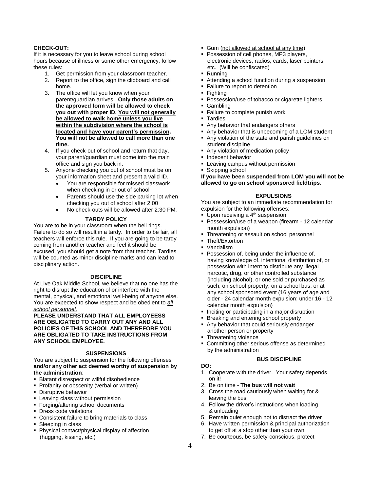### **CHECK-OUT:**

If it is necessary for you to leave school during school hours because of illness or some other emergency, follow these rules:

- 1. Get permission from your classroom teacher.
- 2. Report to the office, sign the clipboard and call home.
- 3. The office will let you know when your parent/guardian arrives. **Only those adults on the approved form will be allowed to check you out with proper ID. You will not generally be allowed to walk home unless you live within the subdivision where the school is located and have your parent's permission. You will not be allowed to call more than one time.**
- 4. If you check-out of school and return that day, your parent/guardian must come into the main office and sign you back in.
- 5. Anyone checking you out of school must be on your information sheet and present a valid ID.
	- You are responsible for missed classwork when checking in or out of school
	- Parents should use the side parking lot when checking you out of school after 2:00
	- No check-outs will be allowed after 2:30 PM.

### **TARDY POLICY**

You are to be in your classroom when the bell rings. Failure to do so will result in a tardy. In order to be fair, all teachers will enforce this rule. If you are going to be tardy coming from another teacher and feel it should be excused, you should get a note from that teacher. Tardies will be counted as minor discipline marks and can lead to disciplinary action.

#### **DISCIPLINE**

At Live Oak Middle School, we believe that no one has the right to disrupt the education of or interfere with the mental, physical, and emotional well-being of anyone else. You are expected to show respect and be obedient to *all school personnel.*

**PLEASE UNDERSTAND THAT ALL EMPLOYEESS ARE OBLIGATED TO CARRY OUT ANY AND ALL POLICIES OF THIS SCHOOL AND THEREFORE YOU ARE OBLIGATED TO TAKE INSTRUCTIONS FROM ANY SCHOOL EMPLOYEE.**

#### **SUSPENSIONS**

You are subject to suspension for the following offenses **and/or any other act deemed worthy of suspension by the administration**:

- Blatant disrespect or willful disobedience
- **Profanity or obscenity (verbal or written)**
- **Disruptive behavior**
- **E** Leaving class without permission
- Forging/altering school documents
- **•** Dress code violations
- Consistent failure to bring materials to class
- Sleeping in class
- Physical contact/physical display of affection (hugging, kissing, etc.)
- Gum (not allowed at school at any time)
- Possession of cell phones, MP3 players, electronic devices, radios, cards, laser pointers, etc. (Will be confiscated)
- Running
- Attending a school function during a suspension
- **Example 1** Failure to report to detention
- Fighting
- **Possession/use of tobacco or cigarette lighters**
- Gambling
- Failure to complete punish work
- Tardies
- Any behavior that endangers others
- Any behavior that is unbecoming of a LOM student ■ Any violation of the state and parish quidelines on
- student discipline Any violation of medication policy
- **·** Indecent behavior
- Leaving campus without permission
- Skipping school

**If you have been suspended from LOM you will not be allowed to go on school sponsored fieldtrips**.

### **EXPULSIONS**

You are subject to an immediate recommendation for expulsion for the following offenses:

- **Upon receiving a 4<sup>th</sup> suspension**
- Possession/use of a weapon (firearm 12 calendar month expulsion)
- Threatening or assault on school personnel
- Theft/Extortion
- **Vandalism**
- Possession of, being under the influence of, having knowledge of, intentional distribution of, or possession with intent to distribute any illegal narcotic, drug, or other controlled substance (including alcohol), or one sold or purchased as such, on school property, on a school bus, or at any school sponsored event (16 years of age and older - 24 calendar month expulsion; under 16 - 12 calendar month expulsion)
- **Inciting or participating in a major disruption**
- Breaking and entering school property
- Any behavior that could seriously endanger another person or property
- Threatening violence
- Committing other serious offense as determined by the administration

### **BUS DISCIPLINE**

- **DO:** 1. Cooperate with the driver. Your safety depends on it!
- 2. Be on time **The bus will not wait**
- 3. Cross the road cautiously when waiting for & leaving the bus
- 4. Follow the driver's instructions when loading & unloading
- 5. Remain quiet enough not to distract the driver
- 6. Have written permission & principal authorization to get off at a stop other than your own
- 7. Be courteous, be safety-conscious, protect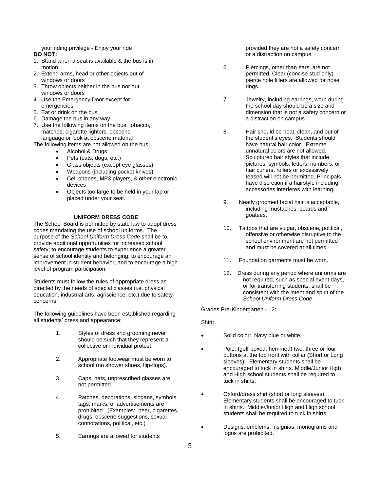your riding privilege - Enjoy your ride

### **DO NOT:**

- 1. Stand when a seat is available & the bus is in motion
- 2. Extend arms, head or other objects out of windows or doors
- 3. Throw objects neither in the bus nor out windows or doors
- 4. Use the Emergency Door except for emergencies
- 5. Eat or drink on the bus
- 6. Damage the bus in any way
- 7. Use the following items on the bus: tobacco, matches, cigarette lighters, obscene language or look at obscene material
- The following items are not allowed on the bus:
	- Alcohol & Drugs
	- Pets (cats, dogs, etc.)
	- Glass objects (except eye glasses)
	- Weapons (including pocket knives)
	- Cell phones, MP3 players, & other electronic devices
	- Objects too large to be held in your lap or placed under your seat. **---------------------------------------------**

### **UNIFORM DRESS CODE**

The School Board is permitted by state law to adopt dress codes mandating the use of school uniforms. The purpose of the *School Uniform Dress Code* shall be to provide additional opportunities for increased school safety; to encourage students to experience a greater sense of school identity and belonging; to encourage an improvement in student behavior; and to encourage a high level of program participation.

Students must follow the rules of appropriate dress as directed by the needs of special classes (i.e. physical education, industrial arts, agriscience, etc.) due to safety concerns.

The following guidelines have been established regarding all students' dress and appearance:

- 1. Styles of dress and grooming never should be such that they represent a collective or individual protest.
- 2. Appropriate footwear must be worn to school (no shower shoes, flip-flops).
- 3. Caps, hats, unprescribed glasses are not permitted.
- 4. Patches, decorations, slogans, symbols, tags, marks, or advertisements are prohibited. (Examples: beer, cigarettes, drugs, obscene suggestions, sexual connotations, political, etc.)
- 5. Earrings are allowed for students

provided they are not a safety concern or a distraction on campus.

- 6. Piercings, other than ears, are not permitted. Clear (concise stud only) pierce hole fillers are allowed for nose rings.
- 7. Jewelry, including earrings, worn during the school day should be a size and dimension that is not a safety concern or a distraction on campus.
- 8. Hair should be neat, clean, and out of the student's eyes. Students should have natural hair color. Extreme unnatural colors are not allowed. Sculptured hair styles that include pictures, symbols, letters, numbers, or hair curlers, rollers or excessively teased will not be permitted. Principals have discretion if a hairstyle including accessories interferes with learning.
- 9. Neatly groomed facial hair is acceptable, including mustaches, beards and goatees.
- 10. Tattoos that are vulgar, obscene, political, offensive or otherwise disruptive to the school environment are not permitted and must be covered at all times.
- 11. Foundation garments must be worn.
- 12. Dress during any period where uniforms are not required, such as special event days, or for transferring students, shall be consistent with the intent and spirit of the *School Uniform Dress Code*.

Grades Pre-Kindergarten - 12:

### Shirt:

- Solid color: Navy blue or white.
- Polo: (golf-boxed, hemmed) two, three or four buttons at the top front with collar (Short or Long sleeves) - Elementary students shall be encouraged to tuck in shirts. Middle/Junior High and High school students shall be required to tuck in shirts.
- Oxford/dress shirt (short or long sleeves) Elementary students shall be encouraged to tuck in shirts. Middle/Junior High and High school students shall be required to tuck in shirts.
- Designs, emblems, insignias, monograms and logos are prohibited.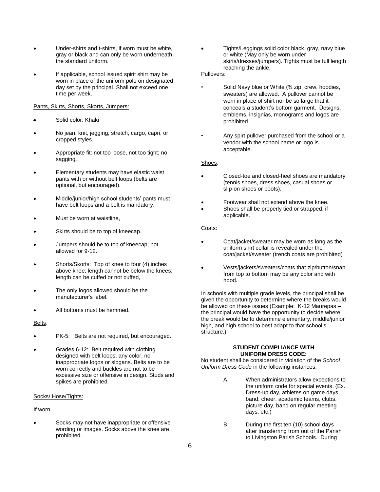- Under-shirts and t-shirts, if worn must be white, gray or black and can only be worn underneath the standard uniform.
- If applicable, school issued spirit shirt may be worn in place of the uniform polo on designated day set by the principal. Shall not exceed one time per week.

#### Pants, Skirts, Shorts, Skorts, Jumpers:

- Solid color: Khaki
- No jean, knit, jegging, stretch, cargo, capri, or cropped styles.
- Appropriate fit: not too loose, not too tight; no sagging.
- Elementary students may have elastic waist pants with or without belt loops (belts are optional, but encouraged).
- Middle/junior/high school students' pants must have belt loops and a belt is mandatory.
- Must be worn at waistline,
- Skirts should be to top of kneecap.
- Jumpers should be to top of kneecap; not allowed for 9-12.
- Shorts/Skorts: Top of knee to four (4) inches above knee; length cannot be below the knees; length can be cuffed or not cuffed,
- The only logos allowed should be the manufacturer's label.
- All bottoms must be hemmed.

#### Belts:

- PK-5: Belts are not required, but encouraged.
- Grades 6-12: Belt required with clothing designed with belt loops, any color, no inappropriate logos or slogans. Belts are to be worn correctly and buckles are not to be excessive size or offensive in design. Studs and spikes are prohibited.

#### Socks/ Hose/Tights:

If worn...

Socks may not have inappropriate or offensive wording or images. Socks above the knee are prohibited.

• Tights/Leggings solid color black, gray, navy blue or white (May only be worn under skirts/dresses/jumpers). Tights must be full length reaching the ankle.

### Pullovers:

- Solid Navy blue or White (¾ zip, crew, hoodies, sweaters) are allowed. A pullover cannot be worn in place of shirt nor be so large that it conceals a student's bottom garment. Designs, emblems, insignias, monograms and logos are prohibited
- Any spirt pullover purchased from the school or a vendor with the school name or logo is acceptable.

### Shoes:

- Closed-toe and closed-heel shoes are mandatory (tennis shoes, dress shoes, casual shoes or slip-on shoes or boots).
- Footwear shall not extend above the knee.
- Shoes shall be properly tied or strapped, if applicable.

### Coats:

- Coat/jacket/sweater may be worn as long as the uniform shirt collar is revealed under the coat/jacket/sweater (trench coats are prohibited)
- Vests/jackets/sweaters/coats that zip/button/snap from top to bottom may be any color and with hood.

In schools with multiple grade levels, the principal shall be given the opportunity to determine where the breaks would be allowed on these issues (Example: K-12 Maurepas – the principal would have the opportunity to decide where the break would be to determine elementary, middle/junior high, and high school to best adapt to that school's structure.)

#### **STUDENT COMPLIANCE WITH UNIFORM DRESS CODE:**

No student shall be considered in violation of the *School Uniform Dress Code* in the following instances:

- A. When administrators allow exceptions to the uniform code for special events. (Ex. Dress-up day, athletes on game days, band, cheer, academic teams, clubs, picture day, band on regular meeting days, etc.)
- B. During the first ten (10) school days after transferring from out of the Parish to Livingston Parish Schools. During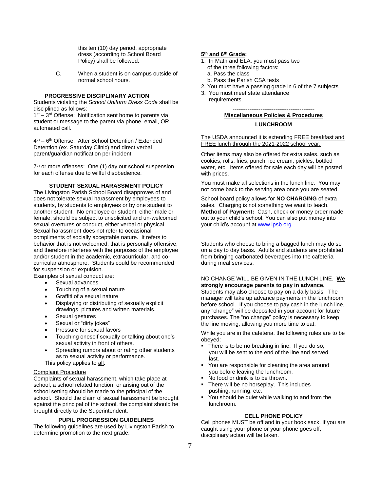this ten (10) day period, appropriate dress (according to School Board Policy) shall be followed.

C. When a student is on campus outside of normal school hours.

#### **PROGRESSIVE DISCIPLINARY ACTION**

Students violating the *School Uniform Dress Code* shall be disciplined as follows:

1<sup>st</sup> – 3<sup>rd</sup> Offense: Notification sent home to parents via student or message to the parent via phone, email, OR automated call.

4<sup>th</sup> – 6<sup>th</sup> Offense: After School Detention / Extended Detention (ex. Saturday Clinic) and direct verbal parent/guardian notification per incident.

7<sup>th</sup> or more offenses: One (1) day out school suspension for each offense due to willful disobedience.

#### **STUDENT SEXUAL HARASSMENT POLICY**

The Livingston Parish School Board disapproves of and does not tolerate sexual harassment by employees to students, by students to employees or by one student to another student. No employee or student, either male or female, should be subject to unsolicited and un-welcomed sexual overtures or conduct, either verbal or physical. Sexual harassment does not refer to occasional compliments of socially acceptable nature. It refers to behavior that is not welcomed, that is personally offensive, and therefore interferes with the purposes of the employee and/or student in the academic, extracurricular, and cocurricular atmosphere. Students could be recommended for suspension or expulsion.

Examples of sexual conduct are:

- Sexual advances
- Touching of a sexual nature
- Graffiti of a sexual nature
- Displaying or distributing of sexually explicit drawings, pictures and written materials.
- Sexual gestures
- Sexual or "dirty jokes"
- Pressure for sexual favors
- Touching oneself sexually or talking about one's sexual activity in front of others.
- Spreading rumors about or rating other students as to sexual activity or performance.

This policy applies to all.

### Complaint Procedure

Complaints of sexual harassment, which take place at school, a school related function, or arising out of the school setting should be made to the principal of the school. Should the claim of sexual harassment be brought against the principal of the school, the complaint should be brought directly to the Superintendent.

#### **PUPIL PROGRESSION GUIDELINES**

The following guidelines are used by Livingston Parish to determine promotion to the next grade:

#### **5 th and 6 th Grade:**

- 1. In Math and ELA, you must pass two
	- of the three following factors:
	- a. Pass the class
	- b. Pass the Parish CSA tests
- 2. You must have a passing grade in 6 of the 7 subjects
- 3. You must meet state attendance requirements.

**--------------------------------------------**

### **Miscellaneous Policies & Procedures LUNCHROOM**

The USDA announced it is extending FREE breakfast and FREE lunch through the 2021-2022 school year.

Other items may also be offered for extra sales, such as cookies, rolls, fries, punch, ice cream, pickles, bottled water, etc. Items offered for sale each day will be posted with prices.

You must make all selections in the lunch line. You may not come back to the serving area once you are seated.

School board policy allows for **NO CHARGING** of extra sales. Charging is not something we want to teach. **Method of Payment:** Cash, check or money order made out to your child's school. You can also put money into your child's account a[t www.lpsb.org](http://www.lpsb.org/)

Students who choose to bring a bagged lunch may do so on a day to day basis. Adults and students are prohibited from bringing carbonated beverages into the cafeteria during meal services.

### NO CHANGE WILL BE GIVEN IN THE LUNCH LINE. **We strongly encourage parents to pay in advance.**

Students may also choose to pay on a daily basis. The manager will take up advance payments in the lunchroom before school. If you choose to pay cash in the lunch line, any "change" will be deposited in your account for future purchases. The "no change" policy is necessary to keep the line moving, allowing you more time to eat.

While you are in the cafeteria, the following rules are to be obeyed:

- **•** There is to be no breaking in line. If you do so, you will be sent to the end of the line and served last.
- You are responsible for cleaning the area around you before leaving the lunchroom.
- No food or drink is to be thrown.
- There will be no horseplay. This includes pushing, running, etc.
- You should be quiet while walking to and from the lunchroom.

### **CELL PHONE POLICY**

Cell phones MUST be off and in your book sack. If you are caught using your phone or your phone goes off, disciplinary action will be taken.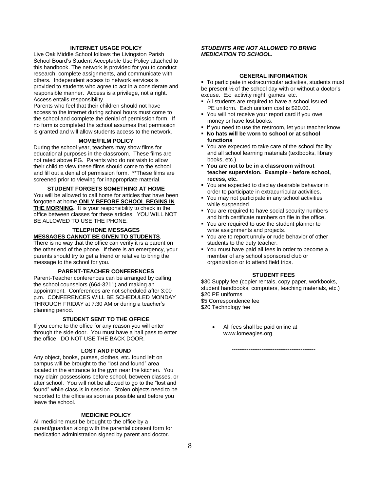### **INTERNET USAGE POLICY**

Live Oak Middle School follows the Livingston Parish School Board's Student Acceptable Use Policy attached to this handbook. The network is provided for you to conduct research, complete assignments, and communicate with others. Independent access to network services is provided to students who agree to act in a considerate and responsible manner. Access is a privilege, not a right. Access entails responsibility.

Parents who feel that their children should not have access to the internet during school hours must come to the school and complete the denial of permission form. If no form is completed the school assumes that permission is granted and will allow students access to the network.

#### **MOVIE/FILM POLICY**

During the school year, teachers may show films for educational purposes in the classroom. These films are not rated above PG. Parents who do not wish to allow their child to view these films should come to the school and fill out a denial of permission form. \*\*These films are screened prior to viewing for inappropriate material.

**STUDENT FORGETS SOMETHING AT HOME** You will be allowed to call home for articles that have been forgotten at home **ONLY BEFORE SCHOOL BEGINS IN THE MORNING.** It is your responsibility to check in the office between classes for these articles. YOU WILL NOT BE ALLOWED TO USE THE PHONE.

#### **TELEPHONE MESSAGES MESSAGES CANNOT BE GIVEN TO STUDENTS**.

There is no way that the office can verify it is a parent on the other end of the phone. If there is an emergency, your parents should try to get a friend or relative to bring the message to the school for you.

#### **PARENT-TEACHER CONFERENCES**

Parent-Teacher conferences can be arranged by calling the school counselors (664-3211) and making an appointment. Conferences are not scheduled after 3:00 p.m. CONFERENCES WILL BE SCHEDULED MONDAY THROUGH FRIDAY at 7:30 AM or during a teacher's planning period.

#### **STUDENT SENT TO THE OFFICE**

If you come to the office for any reason you will enter through the side door. You must have a hall pass to enter the office. DO NOT USE THE BACK DOOR.

#### **LOST AND FOUND**

Any object, books, purses, clothes, etc. found left on campus will be brought to the "lost and found" area located in the entrance to the gym near the kitchen. You may claim possessions before school, between classes, or after school. You will not be allowed to go to the "lost and found" while class is in session. Stolen objects need to be reported to the office as soon as possible and before you leave the school.

#### **MEDICINE POLICY**

All medicine must be brought to the office by a parent/guardian along with the parental consent form for medication administration signed by parent and doctor.

### *STUDENTS ARE NOT ALLOWED TO BRING MEDICATION TO SCHOOL.*

### **GENERAL INFORMATION**

■ To participate in extracurricular activities, students must be present ½ of the school day with or without a doctor's excuse. Ex: activity night, games, etc.

- All students are required to have a school issued PE uniform. Each uniform cost is \$20.00.
- You will not receive your report card if you owe money or have lost books.
- **■** If you need to use the restroom, let your teacher know.
- **No hats will be worn to school or at school functions**
- You are expected to take care of the school facility and all school learning materials (textbooks, library books, etc.).
- **You are not to be in a classroom without teacher supervision. Example - before school, recess, etc.**
- You are expected to display desirable behavior in order to participate in extracurricular activities.
- You may not participate in any school activities while suspended.
- You are required to have social security numbers and birth certificate numbers on file in the office.
- You are required to use the student planner to write assignments and projects.
- You are to report unruly or rude behavior of other students to the duty teacher.
- You must have paid all fees in order to become a member of any school sponsored club or organization or to attend field trips.

### **STUDENT FEES**

\$30 Supply fee (copier rentals, copy paper, workbooks, student handbooks, computers, teaching materials, etc.) \$20 PE uniforms \$5 Correspondence fee \$20 Technology fee

**---------------------------------------------**

All fees shall be paid online at www.lomeagles.org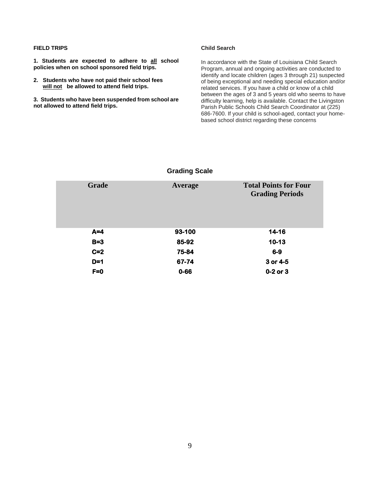### **FIELD TRIPS**

**1. Students are expected to adhere to all school policies when on school sponsored field trips.**

**2. Students who have not paid their school fees will not be allowed to attend field trips.**

**3. Students who have been suspended from school are not allowed to attend field trips.**

### **Child Search**

In accordance with the State of Louisiana Child Search Program, annual and ongoing activities are conducted to identify and locate children (ages 3 through 21) suspected of being exceptional and needing special education and/or related services. If you have a child or know of a child between the ages of 3 and 5 years old who seems to have difficulty learning, help is available. Contact the Livingston Parish Public Schools Child Search Coordinator at (225) 686-7600. If your child is school-aged, contact your homebased school district regarding these concerns

| <b>Grade</b> | Average  | <b>Total Points for Four</b><br><b>Grading Periods</b> |
|--------------|----------|--------------------------------------------------------|
| $A=4$        | 93-100   | 14-16                                                  |
| $B=3$        | 85-92    | $10 - 13$                                              |
| $C=2$        | 75-84    | $6-9$                                                  |
| $D=1$        | 67-74    | 3 or 4-5                                               |
| $F=0$        | $0 - 66$ | $0-2$ or $3$                                           |

### **Grading Scale**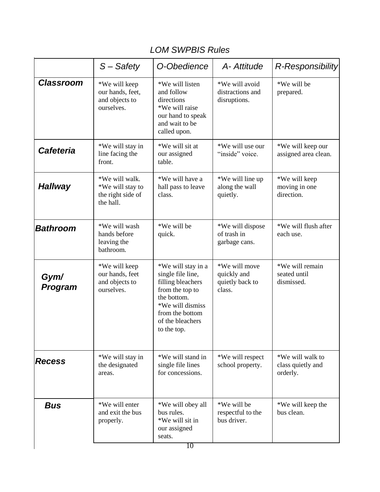### *LOM SWPBIS Rules*

|                        | S-Safety                                                             | O-Obedience                                                                                                                                                              | A- Attitude                                               | R-Responsibility                                  |
|------------------------|----------------------------------------------------------------------|--------------------------------------------------------------------------------------------------------------------------------------------------------------------------|-----------------------------------------------------------|---------------------------------------------------|
| <b>Classroom</b>       | *We will keep<br>our hands, feet,<br>and objects to<br>ourselves.    | *We will listen<br>and follow<br>directions<br>*We will raise<br>our hand to speak<br>and wait to be<br>called upon.                                                     | *We will avoid<br>distractions and<br>disruptions.        | *We will be<br>prepared.                          |
| <b>Cafeteria</b>       | *We will stay in<br>line facing the<br>front.                        | *We will sit at<br>our assigned<br>table.                                                                                                                                | *We will use our<br>"inside" voice.                       | *We will keep our<br>assigned area clean.         |
| <b>Hallway</b>         | *We will walk.<br>*We will stay to<br>the right side of<br>the hall. | *We will have a<br>hall pass to leave<br>class.                                                                                                                          | *We will line up<br>along the wall<br>quietly.            | *We will keep<br>moving in one<br>direction.      |
| Bathroom               | *We will wash<br>hands before<br>leaving the<br>bathroom.            | *We will be<br>quick.                                                                                                                                                    | *We will dispose<br>of trash in<br>garbage cans.          | *We will flush after<br>each use.                 |
| Gym/<br><b>Program</b> | *We will keep<br>our hands, feet<br>and objects to<br>ourselves.     | *We will stay in a<br>single file line,<br>filling bleachers<br>from the top to<br>the bottom.<br>*We will dismiss<br>from the bottom<br>of the bleachers<br>to the top. | *We will move<br>quickly and<br>quietly back to<br>class. | *We will remain<br>seated until<br>dismissed.     |
| <b>Recess</b>          | *We will stay in<br>the designated<br>areas.                         | *We will stand in<br>single file lines<br>for concessions.                                                                                                               | *We will respect<br>school property.                      | *We will walk to<br>class quietly and<br>orderly. |
| <b>Bus</b>             | *We will enter<br>and exit the bus<br>properly.                      | *We will obey all<br>bus rules.<br>*We will sit in<br>our assigned<br>seats.<br>10                                                                                       | *We will be<br>respectful to the<br>bus driver.           | *We will keep the<br>bus clean.                   |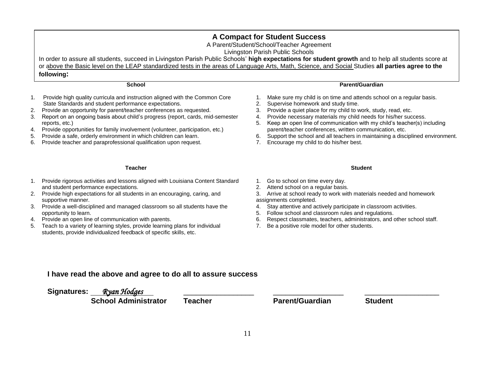### **A Compact for Student Success**

A Parent/Student/School/Teacher Agreement

Livingston Parish Public Schools

In order to assure all students, succeed in Livingston Parish Public Schools' **high expectations for student growth** and to help all students score at or above the Basic level on the LEAP standardized tests in the areas of Language Arts, Math, Science, and Social Studies **all parties agree to the** 

### **following:**

### **School**

- 1. Provide high quality curricula and instruction aligned with the Common Core State Standards and student performance expectations.
- 2. Provide an opportunity for parent/teacher conferences as requested.
- 3. Report on an ongoing basis about child's progress (report, cards, mid-semester reports, etc.)
- 4. Provide opportunities for family involvement (volunteer, participation, etc.)
- 5. Provide a safe, orderly environment in which children can learn.
- 6. Provide teacher and paraprofessional qualification upon request.

### **Teacher**

- 1. Provide rigorous activities and lessons aligned with Louisiana Content Standard and student performance expectations.
- 2. Provide high expectations for all students in an encouraging, caring, and supportive manner.
- 3. Provide a well-disciplined and managed classroom so all students have the opportunity to learn.
- 4. Provide an open line of communication with parents.
- 5. Teach to a variety of learning styles, provide learning plans for individual students, provide individualized feedback of specific skills, etc.
- **Parent/Guardian**
- 1. Make sure my child is on time and attends school on a regular basis.
- 2. Supervise homework and study time.
- 3. Provide a quiet place for my child to work, study, read, etc.
- 4. Provide necessary materials my child needs for his/her success.
- 5. Keep an open line of communication with my child's teacher(s) including parent/teacher conferences, written communication, etc.
- 6. Support the school and all teachers in maintaining a disciplined environment.
- 7. Encourage my child to do his/her best.

### **Student**

- 1. Go to school on time every day.
- 2. Attend school on a regular basis.
- 3. Arrive at school ready to work with materials needed and homework assignments completed.
- 4. Stay attentive and actively participate in classroom activities.
- 5. Follow school and classroom rules and regulations.
- 6. Respect classmates, teachers, administrators, and other school staff.
- 7. Be a positive role model for other students.

### **I have read the above and agree to do all to assure success**

**Signatures:** *Ryan Hodges* \_\_\_\_\_\_\_\_\_\_\_\_\_\_\_\_\_ \_\_\_\_\_\_\_\_\_\_\_\_\_\_\_\_\_ \_\_\_\_\_\_\_\_\_\_\_\_\_\_\_\_\_\_

 **School Administrator Teacher Parent/Guardian Student**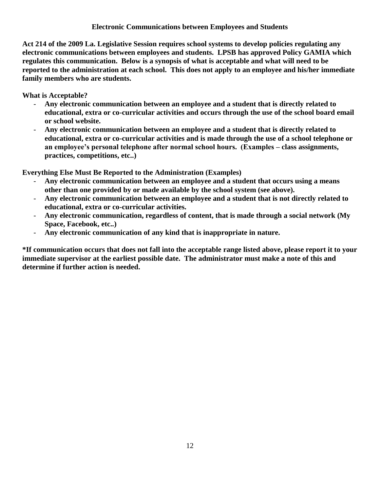### **Electronic Communications between Employees and Students**

**Act 214 of the 2009 La. Legislative Session requires school systems to develop policies regulating any electronic communications between employees and students. LPSB has approved Policy GAMIA which regulates this communication. Below is a synopsis of what is acceptable and what will need to be reported to the administration at each school. This does not apply to an employee and his/her immediate family members who are students.**

**What is Acceptable?**

- **Any electronic communication between an employee and a student that is directly related to educational, extra or co-curricular activities and occurs through the use of the school board email or school website.**
- **Any electronic communication between an employee and a student that is directly related to educational, extra or co-curricular activities and is made through the use of a school telephone or an employee's personal telephone after normal school hours. (Examples – class assignments, practices, competitions, etc..)**

**Everything Else Must Be Reported to the Administration (Examples)**

- **Any electronic communication between an employee and a student that occurs using a means other than one provided by or made available by the school system (see above).**
- **Any electronic communication between an employee and a student that is not directly related to educational, extra or co-curricular activities.**
- **Any electronic communication, regardless of content, that is made through a social network (My Space, Facebook, etc..)**
- **Any electronic communication of any kind that is inappropriate in nature.**

**\*If communication occurs that does not fall into the acceptable range listed above, please report it to your immediate supervisor at the earliest possible date. The administrator must make a note of this and determine if further action is needed.**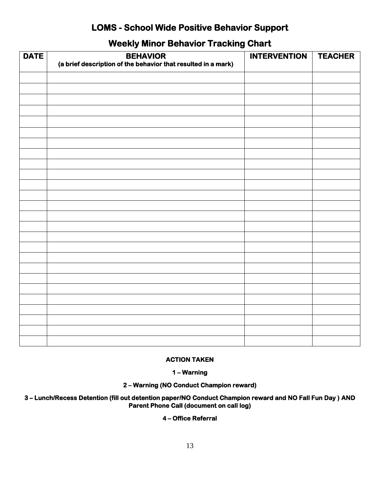### **LOMS - School Wide Positive Behavior Support**

### **Weekly Minor Behavior Tracking Chart**

| <b>DATE</b> | <b>BEHAVIOR</b><br>(a brief description of the behavior that resulted in a mark) | <b>INTERVENTION</b> | <b>TEACHER</b> |
|-------------|----------------------------------------------------------------------------------|---------------------|----------------|
|             |                                                                                  |                     |                |
|             |                                                                                  |                     |                |
|             |                                                                                  |                     |                |
|             |                                                                                  |                     |                |
|             |                                                                                  |                     |                |
|             |                                                                                  |                     |                |
|             |                                                                                  |                     |                |
|             |                                                                                  |                     |                |
|             |                                                                                  |                     |                |
|             |                                                                                  |                     |                |
|             |                                                                                  |                     |                |
|             |                                                                                  |                     |                |
|             |                                                                                  |                     |                |
|             |                                                                                  |                     |                |
|             |                                                                                  |                     |                |
|             |                                                                                  |                     |                |
|             |                                                                                  |                     |                |
|             |                                                                                  |                     |                |
|             |                                                                                  |                     |                |
|             |                                                                                  |                     |                |
|             |                                                                                  |                     |                |
|             |                                                                                  |                     |                |
|             |                                                                                  |                     |                |
|             |                                                                                  |                     |                |
|             |                                                                                  |                     |                |
|             |                                                                                  |                     |                |

### **ACTION TAKEN**

**1 – Warning** 

**2 – Warning (NO Conduct Champion reward)** 

**3 – Lunch/Recess Detention (fill out detention paper/NO Conduct Champion reward and NO Fall Fun Day ) AND Parent Phone Call (document on call log)** 

### **4 – Office Referral**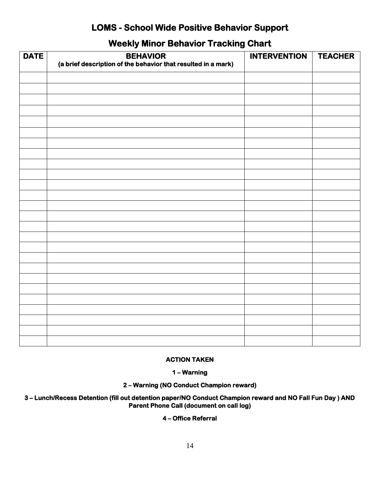### **LOMS - School Wide Positive Behavior Support**

### **Weekly Minor Behavior Tracking Chart**

| <b>DATE</b> | <b>BEHAVIOR</b><br>(a brief description of the behavior that resulted in a mark) | <b>INTERVENTION</b> | <b>TEACHER</b> |
|-------------|----------------------------------------------------------------------------------|---------------------|----------------|
|             |                                                                                  |                     |                |
|             |                                                                                  |                     |                |
|             |                                                                                  |                     |                |
|             |                                                                                  |                     |                |
|             |                                                                                  |                     |                |
|             |                                                                                  |                     |                |
|             |                                                                                  |                     |                |
|             |                                                                                  |                     |                |
|             |                                                                                  |                     |                |
|             |                                                                                  |                     |                |
|             |                                                                                  |                     |                |
|             |                                                                                  |                     |                |
|             |                                                                                  |                     |                |
|             |                                                                                  |                     |                |
|             |                                                                                  |                     |                |
|             |                                                                                  |                     |                |
|             |                                                                                  |                     |                |
|             |                                                                                  |                     |                |
|             |                                                                                  |                     |                |
|             |                                                                                  |                     |                |
|             |                                                                                  |                     |                |
|             |                                                                                  |                     |                |
|             |                                                                                  |                     |                |
|             |                                                                                  |                     |                |
|             |                                                                                  |                     |                |

### **ACTION TAKEN**

**1 – Warning** 

**2 – Warning (NO Conduct Champion reward)** 

**3 – Lunch/Recess Detention (fill out detention paper/NO Conduct Champion reward and NO Fall Fun Day ) AND Parent Phone Call (document on call log)** 

### **4 – Office Referral**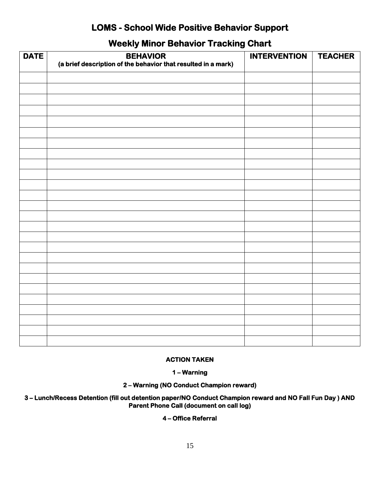### **LOMS - School Wide Positive Behavior Support**

### **Weekly Minor Behavior Tracking Chart**

| <b>DATE</b> | <b>BEHAVIOR</b><br>(a brief description of the behavior that resulted in a mark) | <b>INTERVENTION</b> | <b>TEACHER</b> |
|-------------|----------------------------------------------------------------------------------|---------------------|----------------|
|             |                                                                                  |                     |                |
|             |                                                                                  |                     |                |
|             |                                                                                  |                     |                |
|             |                                                                                  |                     |                |
|             |                                                                                  |                     |                |
|             |                                                                                  |                     |                |
|             |                                                                                  |                     |                |
|             |                                                                                  |                     |                |
|             |                                                                                  |                     |                |
|             |                                                                                  |                     |                |
|             |                                                                                  |                     |                |
|             |                                                                                  |                     |                |
|             |                                                                                  |                     |                |
|             |                                                                                  |                     |                |
|             |                                                                                  |                     |                |
|             |                                                                                  |                     |                |
|             |                                                                                  |                     |                |
|             |                                                                                  |                     |                |
|             |                                                                                  |                     |                |
|             |                                                                                  |                     |                |
|             |                                                                                  |                     |                |
|             |                                                                                  |                     |                |
|             |                                                                                  |                     |                |
|             |                                                                                  |                     |                |
|             |                                                                                  |                     |                |
|             |                                                                                  |                     |                |

### **ACTION TAKEN**

**1 – Warning** 

**2 – Warning (NO Conduct Champion reward)** 

**3 – Lunch/Recess Detention (fill out detention paper/NO Conduct Champion reward and NO Fall Fun Day ) AND Parent Phone Call (document on call log)** 

### **4 – Office Referral**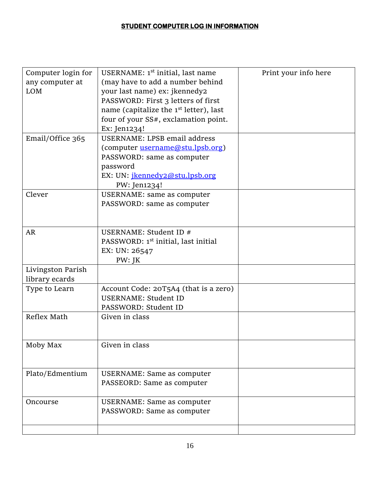### **STUDENT COMPUTER LOG IN INFORMATION**

| Computer login for | USERNAME: 1 <sup>st</sup> initial, last name       | Print your info here |
|--------------------|----------------------------------------------------|----------------------|
| any computer at    | (may have to add a number behind                   |                      |
| <b>LOM</b>         | your last name) ex: jkennedy2                      |                      |
|                    | PASSWORD: First 3 letters of first                 |                      |
|                    | name (capitalize the 1 <sup>st</sup> letter), last |                      |
|                    | four of your SS#, exclamation point.               |                      |
|                    | Ex: Jen1234!                                       |                      |
| Email/Office 365   | USERNAME: LPSB email address                       |                      |
|                    | (computer username@stu.lpsb.org)                   |                      |
|                    | PASSWORD: same as computer                         |                      |
|                    | password                                           |                      |
|                    | EX: UN: <i>jkennedy2@stu.lpsb.org</i>              |                      |
|                    | PW: Jen1234!                                       |                      |
| Clever             | <b>USERNAME:</b> same as computer                  |                      |
|                    | PASSWORD: same as computer                         |                      |
|                    |                                                    |                      |
|                    |                                                    |                      |
| <b>AR</b>          | USERNAME: Student ID #                             |                      |
|                    | PASSWORD: 1 <sup>st</sup> initial, last initial    |                      |
|                    | EX: UN: 26547                                      |                      |
|                    | PW: JK                                             |                      |
| Livingston Parish  |                                                    |                      |
| library ecards     |                                                    |                      |
| Type to Learn      | Account Code: 20T5A4 (that is a zero)              |                      |
|                    | <b>USERNAME: Student ID</b>                        |                      |
|                    | PASSWORD: Student ID                               |                      |
| Reflex Math        | Given in class                                     |                      |
|                    |                                                    |                      |
|                    |                                                    |                      |
| Moby Max           | Given in class                                     |                      |
|                    |                                                    |                      |
|                    |                                                    |                      |
| Plato/Edmentium    | <b>USERNAME:</b> Same as computer                  |                      |
|                    | PASSEORD: Same as computer                         |                      |
|                    |                                                    |                      |
| Oncourse           | <b>USERNAME:</b> Same as computer                  |                      |
|                    | PASSWORD: Same as computer                         |                      |
|                    |                                                    |                      |
|                    |                                                    |                      |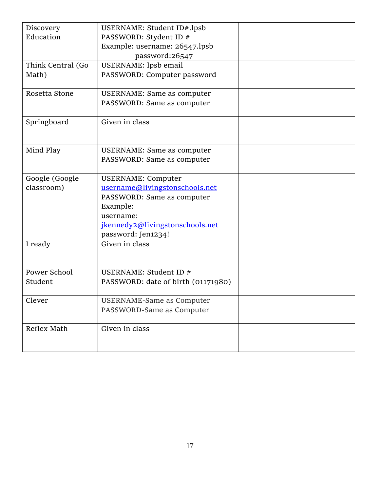| Discovery         | USERNAME: Student ID#.lpsb         |  |
|-------------------|------------------------------------|--|
| Education         | PASSWORD: Stydent ID #             |  |
|                   | Example: username: 26547.lpsb      |  |
|                   | password:26547                     |  |
| Think Central (Go | USERNAME: lpsb email               |  |
| Math)             | PASSWORD: Computer password        |  |
| Rosetta Stone     | <b>USERNAME: Same as computer</b>  |  |
|                   | PASSWORD: Same as computer         |  |
| Springboard       | Given in class                     |  |
| Mind Play         | <b>USERNAME: Same as computer</b>  |  |
|                   | PASSWORD: Same as computer         |  |
| Google (Google    | <b>USERNAME: Computer</b>          |  |
| classroom)        | username@livingstonschools.net     |  |
|                   | PASSWORD: Same as computer         |  |
|                   | Example:                           |  |
|                   | username:                          |  |
|                   | jkennedy2@livingstonschools.net    |  |
|                   | password: Jen1234!                 |  |
| I ready           | Given in class                     |  |
| Power School      | USERNAME: Student ID #             |  |
| Student           | PASSWORD: date of birth (01171980) |  |
| Clever            | USERNAME-Same as Computer          |  |
|                   | PASSWORD-Same as Computer          |  |
| Reflex Math       | Given in class                     |  |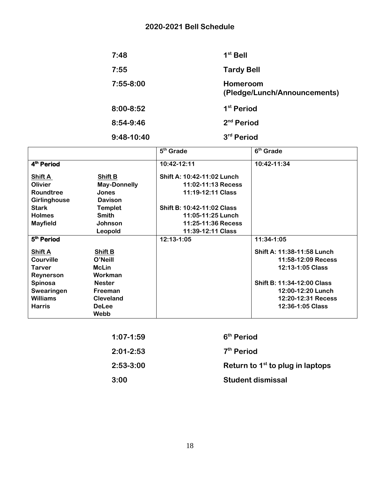### **2020-2021 Bell Schedule**

| 7:48        | $1st$ Bell                               |
|-------------|------------------------------------------|
| 7:55        | <b>Tardy Bell</b>                        |
| $7:55-8:00$ | Homeroom<br>(Pledge/Lunch/Announcements) |
| 8:00-8:52   | 1 <sup>st</sup> Period                   |
| 8:54-9:46   | 2 <sup>nd</sup> Period                   |
| 9:48-10:40  | 3rd Period                               |

|                        |                     | 5 <sup>th</sup> Grade      | 6 <sup>th</sup> Grade      |
|------------------------|---------------------|----------------------------|----------------------------|
| 4 <sup>th</sup> Period |                     | 10:42-12:11                | 10:42-11:34                |
| <b>Shift A</b>         | Shift B             | Shift A: 10:42-11:02 Lunch |                            |
| <b>Olivier</b>         | <b>May-Donnelly</b> | 11:02-11:13 Recess         |                            |
| Roundtree              | <b>Jones</b>        | 11:19-12:11 Class          |                            |
| <b>Girlinghouse</b>    | <b>Davison</b>      |                            |                            |
| <b>Stark</b>           | <b>Templet</b>      | Shift B: 10:42-11:02 Class |                            |
| <b>Holmes</b>          | <b>Smith</b>        | 11:05-11:25 Lunch          |                            |
| <b>Mayfield</b>        | <b>Johnson</b>      | 11:25-11:36 Recess         |                            |
|                        | Leopold             | 11:39-12:11 Class          |                            |
| 5 <sup>th</sup> Period |                     | 12:13-1:05                 | 11:34-1:05                 |
| <b>Shift A</b>         | Shift B             |                            | Shift A: 11:38-11:58 Lunch |
| <b>Courville</b>       | O'Neill             |                            | 11:58-12:09 Recess         |
| <b>Tarver</b>          | <b>McLin</b>        |                            | 12:13-1:05 Class           |
| Reynerson              | Workman             |                            |                            |
| Spinosa                | <b>Nester</b>       |                            | Shift B: 11:34-12:00 Class |
| Swearingen             | Freeman             |                            | 12:00-12:20 Lunch          |
| <b>Williams</b>        | <b>Cleveland</b>    |                            | 12:20-12:31 Recess         |
| <b>Harris</b>          | <b>DeLee</b>        |                            | 12:36-1:05 Class           |
|                        | Webb                |                            |                            |

| $1:07 - 1:59$ | 6 <sup>th</sup> Period             |
|---------------|------------------------------------|
| 2:01-2:53     | $7th$ Period                       |
| 2:53-3:00     | Return to $1st$ to plug in laptops |
| 3:00          | <b>Student dismissal</b>           |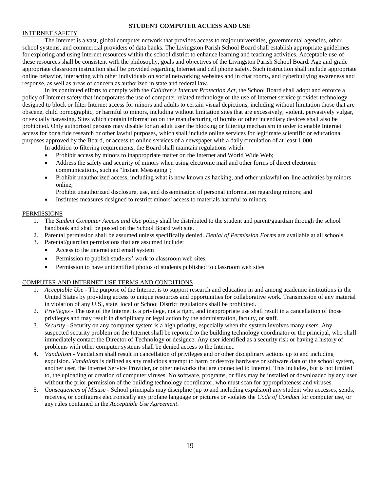#### **STUDENT COMPUTER ACCESS AND USE**

#### INTERNET SAFETY

The Internet is a vast, global computer network that provides access to major universities, governmental agencies, other school systems, and commercial providers of data banks. The Livingston Parish School Board shall establish appropriate guidelines for exploring and using Internet resources within the school district to enhance learning and teaching activities. Acceptable use of these resources shall be consistent with the philosophy, goals and objectives of the Livingston Parish School Board. Age and grade appropriate classroom instruction shall be provided regarding Internet and cell phone safety. Such instruction shall include appropriate online behavior, interacting with other individuals on social networking websites and in chat rooms, and cyberbullying awareness and response, as well as areas of concern as authorized in state and federal law.

In its continued efforts to comply with the *Children's Internet Protection Act*, the School Board shall adopt and enforce a policy of Internet safety that incorporates the use of computer-related technology or the use of Internet service provider technology designed to block or filter Internet access for minors and adults to certain visual depictions, including without limitation those that are obscene, child pornographic, or harmful to minors, including without limitation sites that are excessively, violent, pervasively vulgar, or sexually harassing. Sites which contain information on the manufacturing of bombs or other incendiary devices shall also be prohibited. Only authorized persons may disable for an adult user the blocking or filtering mechanism in order to enable Internet access for bona fide research or other lawful purposes, which shall include online services for legitimate scientific or educational purposes approved by the Board, or access to online services of a newspaper with a daily circulation of at least 1,000.

In addition to filtering requirements, the Board shall maintain regulations which:

- Prohibit access by minors to inappropriate matter on the Internet and World Wide Web;
- Address the safety and security of minors when using electronic mail and other forms of direct electronic communications, such as "Instant Messaging";
- Prohibit unauthorized access, including what is now known as hacking, and other unlawful on-line activities by minors online;

Prohibit unauthorized disclosure, use, and dissemination of personal information regarding minors; and

Institutes measures designed to restrict minors' access to materials harmful to minors.

#### **PERMISSIONS**

- 1. The *Student Computer Access and Use* policy shall be distributed to the student and parent/guardian through the school handbook and shall be posted on the School Board web site.
- 2. Parental permission shall be assumed unless specifically denied. *Denial of Permission Forms* are available at all schools.
- 3. Parental/guardian permissions that are assumed include:
	- Access to the internet and email system
	- Permission to publish students' work to classroom web sites
	- Permission to have unidentified photos of students published to classroom web sites

#### COMPUTER AND INTERNET USE TERMS AND CONDITIONS

- 1. *Acceptable Use*  The purpose of the Internet is to support research and education in and among academic institutions in the United States by providing access to unique resources and opportunities for collaborative work. Transmission of any material in violation of any U.S., state, local or School District regulations shall be prohibited.
- 2. *Privileges*  The use of the Internet is a privilege, not a right, and inappropriate use shall result in a cancellation of those privileges and may result in disciplinary or legal action by the administration, faculty, or staff.
- 3. *Security*  Security on any computer system is a high priority, especially when the system involves many users. Any suspected security problem on the Internet shall be reported to the building technology coordinator or the principal, who shall immediately contact the Director of Technology or designee. Any user identified as a security risk or having a history of problems with other computer systems shall be denied access to the Internet.
- 4. *Vandalism*  Vandalism shall result in cancellation of privileges and or other disciplinary actions up to and including expulsion. *Vandalism* is defined as any malicious attempt to harm or destroy hardware or software data of the school system, another user, the Internet Service Provider, or other networks that are connected to Internet. This includes, but is not limited to, the uploading or creation of computer viruses. No software, programs, or files may be installed or downloaded by any user without the prior permission of the building technology coordinator, who must scan for appropriateness and viruses.
- 5. *Consequences of Misuse*  School principals may discipline (up to and including expulsion) any student who accesses, sends, receives, or configures electronically any profane language or pictures or violates the *Code of Conduct* for computer use, or any rules contained in the *Acceptable Use Agreement*.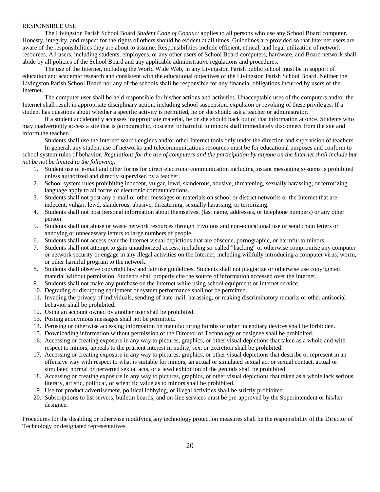#### RESPONSIBLE USE

The Livingston Parish School Board *Student Code of Conduct* applies to all persons who use any School Board computer. Honesty, integrity, and respect for the rights of others should be evident at all times. Guidelines are provided so that Internet users are aware of the responsibilities they are about to assume. Responsibilities include efficient, ethical, and legal utilization of network resources. All users, including students, employees, or any other users of School Board computers, hardware, and Board network shall abide by all policies of the School Board and any applicable administrative regulations and procedures.

The use of the Internet, including the World Wide Web, in any Livingston Parish public school must be in support of education and academic research and consistent with the educational objectives of the Livingston Parish School Board. Neither the Livingston Parish School Board nor any of the schools shall be responsible for any financial obligations incurred by users of the Internet.

The computer user shall be held responsible for his/her actions and activities. Unacceptable uses of the computers and/or the Internet shall result in appropriate disciplinary action, including school suspension, expulsion or revoking of these privileges. If a student has questions about whether a specific activity is permitted, he or she should ask a teacher or administrator.

If a student accidentally accesses inappropriate material, he or she should back out of that information at once. Students who may inadvertently access a site that is pornographic, obscene, or harmful to minors shall immediately disconnect from the site and inform the teacher.

Students shall use the Internet search engines and/or other Internet tools only under the direction and supervision of teachers. In general, any student use of networks and telecommunications resources must be for educational purposes and conform to

school system rules of behavior. *Regulations for the use of computers and the participation by anyone on the Internet shall include but not be not be limited to the following:* 

- 1. Student use of e-mail and other forms for direct electronic communication including instant messaging systems is prohibited unless authorized and directly supervised by a teacher.
- 2. School system rules prohibiting indecent, vulgar, lewd, slanderous, abusive, threatening, sexually harassing, or terrorizing language apply to all forms of electronic communications.
- 3. Students shall not post any e-mail or other messages or materials on school or district networks or the Internet that are indecent, vulgar, lewd, slanderous, abusive, threatening, sexually harassing, or terrorizing.
- 4. Students shall not post personal information about themselves, (last name, addresses, or telephone numbers) or any other person.
- 5. Students shall not abuse or waste network resources through frivolous and non-educational use or send chain letters or annoying or unnecessary letters to large numbers of people.
- 6. Students shall not access over the Internet visual depictions that are obscene, pornographic, or harmful to minors.
- 7. Students shall not attempt to gain unauthorized access, including so-called "hacking" or otherwise compromise any computer or network security or engage in any illegal activities on the Internet, including willfully introducing a computer virus, worm, or other harmful program to the network.
- 8. Students shall observe copyright law and fair use guidelines. Students shall not plagiarize or otherwise use copyrighted material without permission. Students shall properly cite the source of information accessed over the Internet.
- 9. Students shall not make any purchase on the Internet while using school equipment or Internet service.
- 10. Degrading or disrupting equipment or system performance shall not be permitted.
- 11. Invading the privacy of individuals, sending of hate mail, harassing, or making discriminatory remarks or other antisocial behavior shall be prohibited.
- 12. Using an account owned by another user shall be prohibited.
- 13. Posting anonymous messages shall not be permitted.
- 14. Perusing or otherwise accessing information on manufacturing bombs or other incendiary devices shall be forbidden.
- 15. Downloading information without permission of the Director of Technology or designee shall be prohibited.
- 16. Accessing or creating exposure in any way to pictures, graphics, or other visual depictions that taken as a whole and with respect to minors, appeals to the prurient interest in nudity, sex, or excretion shall be prohibited.
- 17. Accessing or creating exposure in any way to pictures, graphics, or other visual depictions that describe or represent in an offensive way with respect to what is suitable for minors, an actual or simulated sexual act or sexual contact, actual or simulated normal or perverted sexual acts, or a lewd exhibition of the genitals shall be prohibited.
- 18. Accessing or creating exposure in any way to pictures, graphics, or other visual depictions that taken as a whole lack serious literary, artistic, political, or scientific value as to minors shall be prohibited.
- 19. Use for product advertisement, political lobbying, or illegal activities shall be strictly prohibited.
- 20. Subscriptions to list servers, bulletin boards, and on-line services must be pre-approved by the Superintendent or his/her designee.

Procedures for the disabling or otherwise modifying any technology protection measures shall be the responsibility of the Director of Technology or designated representatives.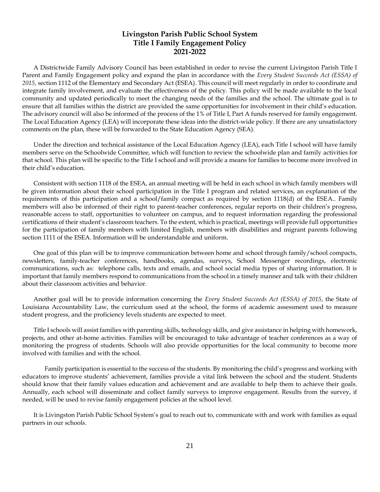### **Livingston Parish Public School System Title I Family Engagement Policy 2021-2022**

A Districtwide Family Advisory Council has been established in order to revise the current Livingston Parish Title I Parent and Family Engagement policy and expand the plan in accordance with the *Every Student Succeeds Act (ESSA) of 2015,* section 1112 of the Elementary and Secondary Act (ESEA). This council will meet regularly in order to coordinate and integrate family involvement, and evaluate the effectiveness of the policy. This policy will be made available to the local community and updated periodically to meet the changing needs of the families and the school. The ultimate goal is to ensure that all families within the district are provided the same opportunities for involvement in their child's education. The advisory council will also be informed of the process of the 1% of Title I, Part A funds reserved for family engagement. The Local Education Agency (LEA) will incorporate these ideas into the district-wide policy. If there are any unsatisfactory comments on the plan, these will be forwarded to the State Education Agency (SEA).

Under the direction and technical assistance of the Local Education Agency (LEA), each Title I school will have family members serve on the Schoolwide Committee, which will function to review the schoolwide plan and family activities for that school. This plan will be specific to the Title I school and will provide a means for families to become more involved in their child's education.

Consistent with section 1118 of the ESEA, an annual meeting will be held in each school in which family members will be given information about their school participation in the Title I program and related services, an explanation of the requirements of this participation and a school/family compact as required by section 1118(d) of the ESEA.. Family members will also be informed of their right to parent-teacher conferences, regular reports on their children's progress, reasonable access to staff, opportunities to volunteer on campus, and to request information regarding the professional certifications of their student's classroom teachers. To the extent, which is practical, meetings will provide full opportunities for the participation of family members with limited English, members with disabilities and migrant parents following section 1111 of the ESEA. Information will be understandable and uniform.

One goal of this plan will be to improve communication between home and school through family/school compacts, newsletters, family-teacher conferences, handbooks, agendas, surveys, School Messenger recordings, electronic communications, such as: telephone calls, texts and emails, and school social media types of sharing information. It is important that family members respond to communications from the school in a timely manner and talk with their children about their classroom activities and behavior.

Another goal will be to provide information concerning the *Every Student Succeeds Act (ESSA) of 2015*, the State of Louisiana Accountability Law, the curriculum used at the school, the forms of academic assessment used to measure student progress, and the proficiency levels students are expected to meet.

Title I schools will assist families with parenting skills, technology skills, and give assistance in helping with homework, projects, and other at-home activities. Families will be encouraged to take advantage of teacher conferences as a way of monitoring the progress of students. Schools will also provide opportunities for the local community to become more involved with families and with the school.

Family participation is essential to the success of the students. By monitoring the child's progress and working with educators to improve students' achievement, families provide a vital link between the school and the student. Students should know that their family values education and achievement and are available to help them to achieve their goals. Annually, each school will disseminate and collect family surveys to improve engagement. Results from the survey, if needed, will be used to revise family engagement policies at the school level.

It is Livingston Parish Public School System's goal to reach out to, communicate with and work with families as equal partners in our schools.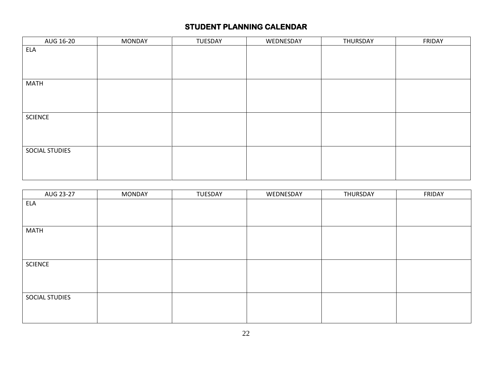| AUG 16-20      | <b>MONDAY</b> | TUESDAY | WEDNESDAY | THURSDAY | FRIDAY |
|----------------|---------------|---------|-----------|----------|--------|
| ELA            |               |         |           |          |        |
|                |               |         |           |          |        |
|                |               |         |           |          |        |
|                |               |         |           |          |        |
| <b>MATH</b>    |               |         |           |          |        |
|                |               |         |           |          |        |
|                |               |         |           |          |        |
|                |               |         |           |          |        |
| <b>SCIENCE</b> |               |         |           |          |        |
|                |               |         |           |          |        |
|                |               |         |           |          |        |
|                |               |         |           |          |        |
| SOCIAL STUDIES |               |         |           |          |        |
|                |               |         |           |          |        |
|                |               |         |           |          |        |
|                |               |         |           |          |        |

| AUG 23-27      | <b>MONDAY</b> | TUESDAY | WEDNESDAY | THURSDAY | FRIDAY |
|----------------|---------------|---------|-----------|----------|--------|
| ELA            |               |         |           |          |        |
|                |               |         |           |          |        |
|                |               |         |           |          |        |
| <b>MATH</b>    |               |         |           |          |        |
|                |               |         |           |          |        |
|                |               |         |           |          |        |
|                |               |         |           |          |        |
| <b>SCIENCE</b> |               |         |           |          |        |
|                |               |         |           |          |        |
|                |               |         |           |          |        |
| SOCIAL STUDIES |               |         |           |          |        |
|                |               |         |           |          |        |
|                |               |         |           |          |        |
|                |               |         |           |          |        |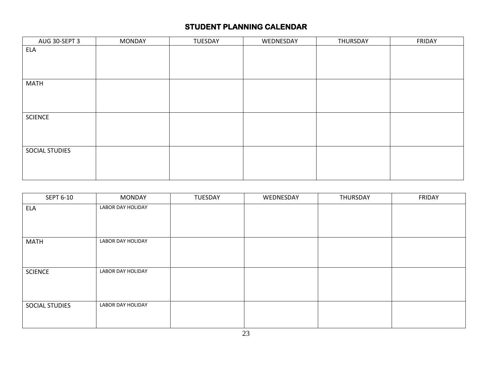| AUG 30-SEPT 3  | <b>MONDAY</b> | TUESDAY | WEDNESDAY | THURSDAY | FRIDAY |
|----------------|---------------|---------|-----------|----------|--------|
| <b>ELA</b>     |               |         |           |          |        |
|                |               |         |           |          |        |
|                |               |         |           |          |        |
|                |               |         |           |          |        |
| <b>MATH</b>    |               |         |           |          |        |
|                |               |         |           |          |        |
|                |               |         |           |          |        |
|                |               |         |           |          |        |
| <b>SCIENCE</b> |               |         |           |          |        |
|                |               |         |           |          |        |
|                |               |         |           |          |        |
|                |               |         |           |          |        |
| SOCIAL STUDIES |               |         |           |          |        |
|                |               |         |           |          |        |
|                |               |         |           |          |        |
|                |               |         |           |          |        |

| SEPT 6-10             | <b>MONDAY</b>     | TUESDAY | WEDNESDAY | THURSDAY | <b>FRIDAY</b> |
|-----------------------|-------------------|---------|-----------|----------|---------------|
| <b>ELA</b>            | LABOR DAY HOLIDAY |         |           |          |               |
|                       |                   |         |           |          |               |
|                       |                   |         |           |          |               |
| <b>MATH</b>           | LABOR DAY HOLIDAY |         |           |          |               |
|                       |                   |         |           |          |               |
|                       |                   |         |           |          |               |
| <b>SCIENCE</b>        | LABOR DAY HOLIDAY |         |           |          |               |
|                       |                   |         |           |          |               |
|                       |                   |         |           |          |               |
| <b>SOCIAL STUDIES</b> | LABOR DAY HOLIDAY |         |           |          |               |
|                       |                   |         |           |          |               |
|                       |                   |         |           |          |               |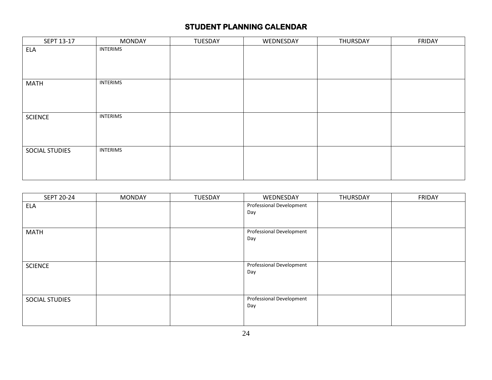| SEPT 13-17     | <b>MONDAY</b>   | TUESDAY | WEDNESDAY | THURSDAY | <b>FRIDAY</b> |
|----------------|-----------------|---------|-----------|----------|---------------|
| <b>ELA</b>     | <b>INTERIMS</b> |         |           |          |               |
|                |                 |         |           |          |               |
|                |                 |         |           |          |               |
|                |                 |         |           |          |               |
| <b>MATH</b>    | <b>INTERIMS</b> |         |           |          |               |
|                |                 |         |           |          |               |
|                |                 |         |           |          |               |
|                |                 |         |           |          |               |
| <b>SCIENCE</b> | <b>INTERIMS</b> |         |           |          |               |
|                |                 |         |           |          |               |
|                |                 |         |           |          |               |
|                |                 |         |           |          |               |
| SOCIAL STUDIES | <b>INTERIMS</b> |         |           |          |               |
|                |                 |         |           |          |               |
|                |                 |         |           |          |               |
|                |                 |         |           |          |               |

| SEPT 20-24     | <b>MONDAY</b> | TUESDAY | WEDNESDAY                | THURSDAY | <b>FRIDAY</b> |
|----------------|---------------|---------|--------------------------|----------|---------------|
| <b>ELA</b>     |               |         | Professional Development |          |               |
|                |               |         | Day                      |          |               |
|                |               |         |                          |          |               |
| <b>MATH</b>    |               |         | Professional Development |          |               |
|                |               |         | Day                      |          |               |
|                |               |         |                          |          |               |
|                |               |         |                          |          |               |
| <b>SCIENCE</b> |               |         | Professional Development |          |               |
|                |               |         | Day                      |          |               |
|                |               |         |                          |          |               |
|                |               |         |                          |          |               |
| SOCIAL STUDIES |               |         | Professional Development |          |               |
|                |               |         | Day                      |          |               |
|                |               |         |                          |          |               |
|                |               |         |                          |          |               |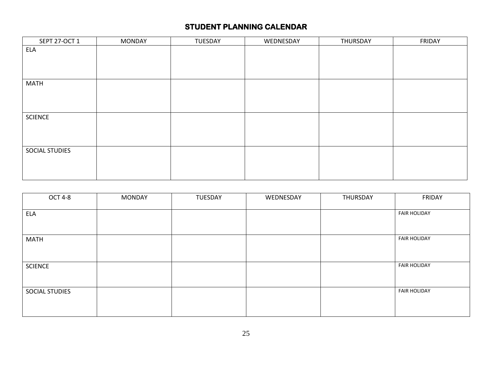| SEPT 27-OCT 1  | <b>MONDAY</b> | TUESDAY | WEDNESDAY | THURSDAY | FRIDAY |
|----------------|---------------|---------|-----------|----------|--------|
| <b>ELA</b>     |               |         |           |          |        |
|                |               |         |           |          |        |
|                |               |         |           |          |        |
|                |               |         |           |          |        |
| <b>MATH</b>    |               |         |           |          |        |
|                |               |         |           |          |        |
|                |               |         |           |          |        |
|                |               |         |           |          |        |
| SCIENCE        |               |         |           |          |        |
|                |               |         |           |          |        |
|                |               |         |           |          |        |
|                |               |         |           |          |        |
| SOCIAL STUDIES |               |         |           |          |        |
|                |               |         |           |          |        |
|                |               |         |           |          |        |
|                |               |         |           |          |        |

| <b>OCT 4-8</b> | <b>MONDAY</b> | TUESDAY | WEDNESDAY | THURSDAY | <b>FRIDAY</b>       |
|----------------|---------------|---------|-----------|----------|---------------------|
|                |               |         |           |          |                     |
| <b>ELA</b>     |               |         |           |          | <b>FAIR HOLIDAY</b> |
|                |               |         |           |          |                     |
|                |               |         |           |          |                     |
| <b>MATH</b>    |               |         |           |          | <b>FAIR HOLIDAY</b> |
|                |               |         |           |          |                     |
|                |               |         |           |          |                     |
|                |               |         |           |          |                     |
| <b>SCIENCE</b> |               |         |           |          | <b>FAIR HOLIDAY</b> |
|                |               |         |           |          |                     |
|                |               |         |           |          |                     |
| SOCIAL STUDIES |               |         |           |          | <b>FAIR HOLIDAY</b> |
|                |               |         |           |          |                     |
|                |               |         |           |          |                     |
|                |               |         |           |          |                     |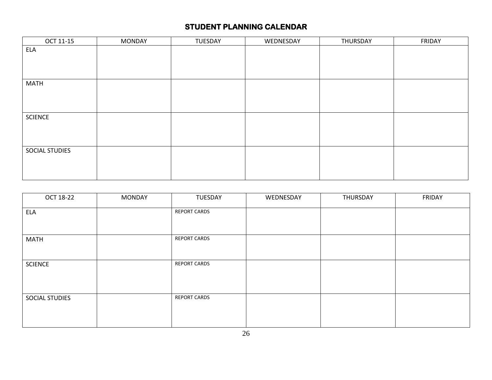| OCT 11-15      | <b>MONDAY</b> | TUESDAY | WEDNESDAY | THURSDAY | FRIDAY |
|----------------|---------------|---------|-----------|----------|--------|
| ELA            |               |         |           |          |        |
|                |               |         |           |          |        |
|                |               |         |           |          |        |
|                |               |         |           |          |        |
| <b>MATH</b>    |               |         |           |          |        |
|                |               |         |           |          |        |
|                |               |         |           |          |        |
|                |               |         |           |          |        |
| <b>SCIENCE</b> |               |         |           |          |        |
|                |               |         |           |          |        |
|                |               |         |           |          |        |
|                |               |         |           |          |        |
| SOCIAL STUDIES |               |         |           |          |        |
|                |               |         |           |          |        |
|                |               |         |           |          |        |
|                |               |         |           |          |        |

| OCT 18-22      | <b>MONDAY</b> | TUESDAY             | WEDNESDAY | THURSDAY | FRIDAY |
|----------------|---------------|---------------------|-----------|----------|--------|
| <b>ELA</b>     |               | <b>REPORT CARDS</b> |           |          |        |
| <b>MATH</b>    |               | <b>REPORT CARDS</b> |           |          |        |
| <b>SCIENCE</b> |               | <b>REPORT CARDS</b> |           |          |        |
| SOCIAL STUDIES |               | <b>REPORT CARDS</b> |           |          |        |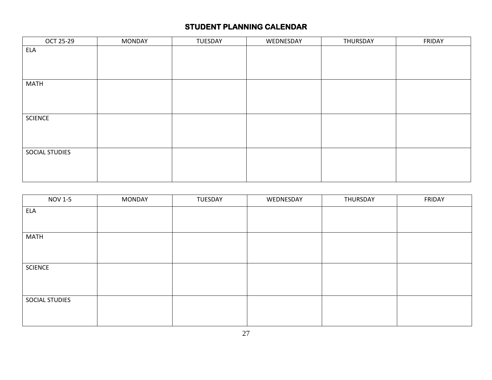| OCT 25-29      | <b>MONDAY</b> | TUESDAY | WEDNESDAY | THURSDAY | FRIDAY |
|----------------|---------------|---------|-----------|----------|--------|
| <b>ELA</b>     |               |         |           |          |        |
|                |               |         |           |          |        |
|                |               |         |           |          |        |
|                |               |         |           |          |        |
| <b>MATH</b>    |               |         |           |          |        |
|                |               |         |           |          |        |
|                |               |         |           |          |        |
|                |               |         |           |          |        |
| <b>SCIENCE</b> |               |         |           |          |        |
|                |               |         |           |          |        |
|                |               |         |           |          |        |
|                |               |         |           |          |        |
| SOCIAL STUDIES |               |         |           |          |        |
|                |               |         |           |          |        |
|                |               |         |           |          |        |
|                |               |         |           |          |        |

| <b>NOV 1-5</b> | <b>MONDAY</b> | TUESDAY | WEDNESDAY | THURSDAY | FRIDAY |
|----------------|---------------|---------|-----------|----------|--------|
| <b>ELA</b>     |               |         |           |          |        |
|                |               |         |           |          |        |
| <b>MATH</b>    |               |         |           |          |        |
|                |               |         |           |          |        |
|                |               |         |           |          |        |
| <b>SCIENCE</b> |               |         |           |          |        |
|                |               |         |           |          |        |
|                |               |         |           |          |        |
| SOCIAL STUDIES |               |         |           |          |        |
|                |               |         |           |          |        |
|                |               |         |           |          |        |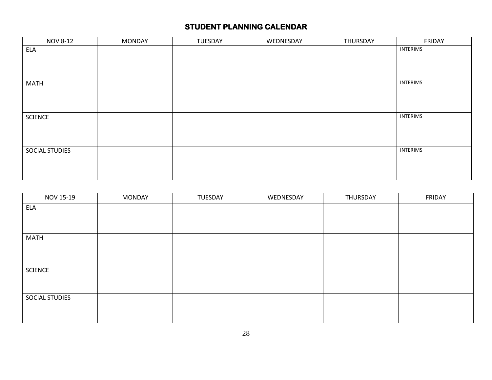| <b>NOV 8-12</b> | <b>MONDAY</b> | TUESDAY | WEDNESDAY | THURSDAY | FRIDAY          |
|-----------------|---------------|---------|-----------|----------|-----------------|
| <b>ELA</b>      |               |         |           |          | <b>INTERIMS</b> |
|                 |               |         |           |          |                 |
|                 |               |         |           |          |                 |
|                 |               |         |           |          |                 |
| <b>MATH</b>     |               |         |           |          | <b>INTERIMS</b> |
|                 |               |         |           |          |                 |
|                 |               |         |           |          |                 |
|                 |               |         |           |          |                 |
| <b>SCIENCE</b>  |               |         |           |          | <b>INTERIMS</b> |
|                 |               |         |           |          |                 |
|                 |               |         |           |          |                 |
|                 |               |         |           |          |                 |
| SOCIAL STUDIES  |               |         |           |          | <b>INTERIMS</b> |
|                 |               |         |           |          |                 |
|                 |               |         |           |          |                 |
|                 |               |         |           |          |                 |

| NOV 15-19      | <b>MONDAY</b> | TUESDAY | WEDNESDAY | THURSDAY | FRIDAY |
|----------------|---------------|---------|-----------|----------|--------|
| ELA            |               |         |           |          |        |
|                |               |         |           |          |        |
|                |               |         |           |          |        |
| <b>MATH</b>    |               |         |           |          |        |
|                |               |         |           |          |        |
|                |               |         |           |          |        |
| <b>SCIENCE</b> |               |         |           |          |        |
|                |               |         |           |          |        |
|                |               |         |           |          |        |
| SOCIAL STUDIES |               |         |           |          |        |
|                |               |         |           |          |        |
|                |               |         |           |          |        |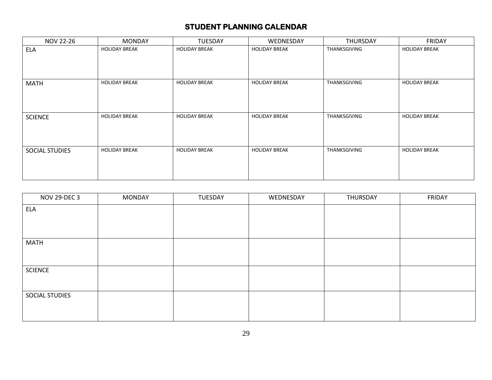| NOV 22-26      | <b>MONDAY</b>        | <b>TUESDAY</b>       | WEDNESDAY            | THURSDAY     | <b>FRIDAY</b>        |
|----------------|----------------------|----------------------|----------------------|--------------|----------------------|
| <b>ELA</b>     | <b>HOLIDAY BREAK</b> | <b>HOLIDAY BREAK</b> | <b>HOLIDAY BREAK</b> | THANKSGIVING | <b>HOLIDAY BREAK</b> |
|                |                      |                      |                      |              |                      |
|                |                      |                      |                      |              |                      |
|                |                      |                      |                      |              |                      |
| <b>MATH</b>    | <b>HOLIDAY BREAK</b> | <b>HOLIDAY BREAK</b> | <b>HOLIDAY BREAK</b> | THANKSGIVING | <b>HOLIDAY BREAK</b> |
|                |                      |                      |                      |              |                      |
|                |                      |                      |                      |              |                      |
|                |                      |                      |                      |              |                      |
| <b>SCIENCE</b> | <b>HOLIDAY BREAK</b> | <b>HOLIDAY BREAK</b> | <b>HOLIDAY BREAK</b> | THANKSGIVING | <b>HOLIDAY BREAK</b> |
|                |                      |                      |                      |              |                      |
|                |                      |                      |                      |              |                      |
|                |                      |                      |                      |              |                      |
| SOCIAL STUDIES | <b>HOLIDAY BREAK</b> | <b>HOLIDAY BREAK</b> | <b>HOLIDAY BREAK</b> | THANKSGIVING | <b>HOLIDAY BREAK</b> |
|                |                      |                      |                      |              |                      |
|                |                      |                      |                      |              |                      |
|                |                      |                      |                      |              |                      |

| <b>NOV 29-DEC 3</b> | <b>MONDAY</b> | TUESDAY | WEDNESDAY | THURSDAY | FRIDAY |
|---------------------|---------------|---------|-----------|----------|--------|
| <b>ELA</b>          |               |         |           |          |        |
|                     |               |         |           |          |        |
|                     |               |         |           |          |        |
| <b>MATH</b>         |               |         |           |          |        |
|                     |               |         |           |          |        |
| <b>SCIENCE</b>      |               |         |           |          |        |
|                     |               |         |           |          |        |
| SOCIAL STUDIES      |               |         |           |          |        |
|                     |               |         |           |          |        |
|                     |               |         |           |          |        |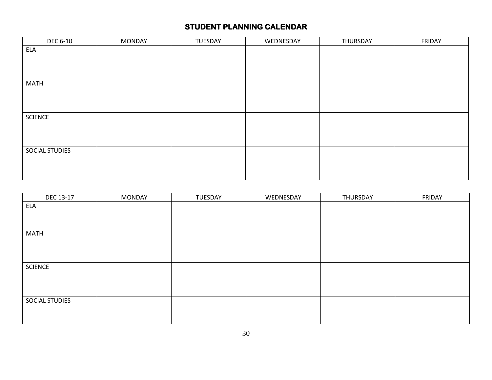| <b>DEC 6-10</b> | <b>MONDAY</b> | TUESDAY | WEDNESDAY | THURSDAY | FRIDAY |
|-----------------|---------------|---------|-----------|----------|--------|
| ELA             |               |         |           |          |        |
|                 |               |         |           |          |        |
|                 |               |         |           |          |        |
|                 |               |         |           |          |        |
| <b>MATH</b>     |               |         |           |          |        |
|                 |               |         |           |          |        |
|                 |               |         |           |          |        |
|                 |               |         |           |          |        |
| <b>SCIENCE</b>  |               |         |           |          |        |
|                 |               |         |           |          |        |
|                 |               |         |           |          |        |
|                 |               |         |           |          |        |
| SOCIAL STUDIES  |               |         |           |          |        |
|                 |               |         |           |          |        |
|                 |               |         |           |          |        |
|                 |               |         |           |          |        |

| DEC 13-17      | <b>MONDAY</b> | TUESDAY | WEDNESDAY | THURSDAY | FRIDAY |
|----------------|---------------|---------|-----------|----------|--------|
| <b>ELA</b>     |               |         |           |          |        |
|                |               |         |           |          |        |
|                |               |         |           |          |        |
| <b>MATH</b>    |               |         |           |          |        |
|                |               |         |           |          |        |
|                |               |         |           |          |        |
|                |               |         |           |          |        |
| <b>SCIENCE</b> |               |         |           |          |        |
|                |               |         |           |          |        |
|                |               |         |           |          |        |
|                |               |         |           |          |        |
| SOCIAL STUDIES |               |         |           |          |        |
|                |               |         |           |          |        |
|                |               |         |           |          |        |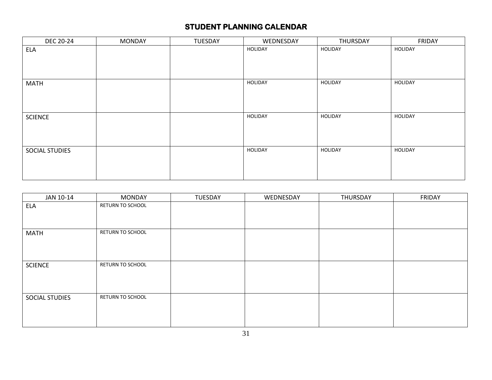| DEC 20-24      | <b>MONDAY</b> | TUESDAY | WEDNESDAY      | THURSDAY | <b>FRIDAY</b> |
|----------------|---------------|---------|----------------|----------|---------------|
| ELA            |               |         | HOLIDAY        | HOLIDAY  | HOLIDAY       |
|                |               |         |                |          |               |
|                |               |         |                |          |               |
|                |               |         |                |          |               |
| <b>MATH</b>    |               |         | HOLIDAY        | HOLIDAY  | HOLIDAY       |
|                |               |         |                |          |               |
|                |               |         |                |          |               |
|                |               |         |                |          |               |
| <b>SCIENCE</b> |               |         | <b>HOLIDAY</b> | HOLIDAY  | HOLIDAY       |
|                |               |         |                |          |               |
|                |               |         |                |          |               |
|                |               |         |                |          |               |
| SOCIAL STUDIES |               |         | HOLIDAY        | HOLIDAY  | HOLIDAY       |
|                |               |         |                |          |               |
|                |               |         |                |          |               |
|                |               |         |                |          |               |

| JAN 10-14      | <b>MONDAY</b>    | TUESDAY | WEDNESDAY | THURSDAY | FRIDAY |
|----------------|------------------|---------|-----------|----------|--------|
| <b>ELA</b>     | RETURN TO SCHOOL |         |           |          |        |
|                |                  |         |           |          |        |
|                |                  |         |           |          |        |
| <b>MATH</b>    | RETURN TO SCHOOL |         |           |          |        |
|                |                  |         |           |          |        |
|                |                  |         |           |          |        |
|                |                  |         |           |          |        |
| <b>SCIENCE</b> | RETURN TO SCHOOL |         |           |          |        |
|                |                  |         |           |          |        |
|                |                  |         |           |          |        |
|                |                  |         |           |          |        |
| SOCIAL STUDIES | RETURN TO SCHOOL |         |           |          |        |
|                |                  |         |           |          |        |
|                |                  |         |           |          |        |
|                |                  |         |           |          |        |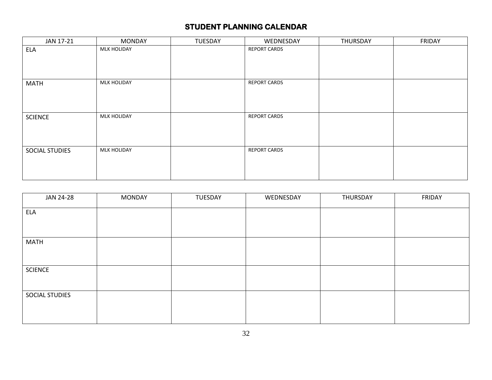| JAN 17-21      | <b>MONDAY</b>      | <b>TUESDAY</b> | WEDNESDAY           | THURSDAY | <b>FRIDAY</b> |
|----------------|--------------------|----------------|---------------------|----------|---------------|
| <b>ELA</b>     | <b>MLK HOLIDAY</b> |                | <b>REPORT CARDS</b> |          |               |
|                |                    |                |                     |          |               |
|                |                    |                |                     |          |               |
|                |                    |                |                     |          |               |
| <b>MATH</b>    | <b>MLK HOLIDAY</b> |                | <b>REPORT CARDS</b> |          |               |
|                |                    |                |                     |          |               |
|                |                    |                |                     |          |               |
|                |                    |                |                     |          |               |
| <b>SCIENCE</b> | <b>MLK HOLIDAY</b> |                | <b>REPORT CARDS</b> |          |               |
|                |                    |                |                     |          |               |
|                |                    |                |                     |          |               |
|                |                    |                |                     |          |               |
| SOCIAL STUDIES | <b>MLK HOLIDAY</b> |                | <b>REPORT CARDS</b> |          |               |
|                |                    |                |                     |          |               |
|                |                    |                |                     |          |               |
|                |                    |                |                     |          |               |

| JAN 24-28      | <b>MONDAY</b> | TUESDAY | WEDNESDAY | THURSDAY | FRIDAY |
|----------------|---------------|---------|-----------|----------|--------|
| <b>ELA</b>     |               |         |           |          |        |
|                |               |         |           |          |        |
| <b>MATH</b>    |               |         |           |          |        |
|                |               |         |           |          |        |
| <b>SCIENCE</b> |               |         |           |          |        |
|                |               |         |           |          |        |
| SOCIAL STUDIES |               |         |           |          |        |
|                |               |         |           |          |        |
|                |               |         |           |          |        |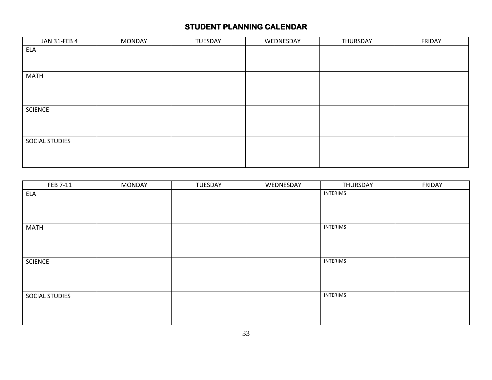| JAN 31-FEB 4   | <b>MONDAY</b> | TUESDAY | WEDNESDAY | THURSDAY | FRIDAY |
|----------------|---------------|---------|-----------|----------|--------|
| <b>ELA</b>     |               |         |           |          |        |
|                |               |         |           |          |        |
|                |               |         |           |          |        |
| <b>MATH</b>    |               |         |           |          |        |
|                |               |         |           |          |        |
|                |               |         |           |          |        |
|                |               |         |           |          |        |
| SCIENCE        |               |         |           |          |        |
|                |               |         |           |          |        |
|                |               |         |           |          |        |
|                |               |         |           |          |        |
| SOCIAL STUDIES |               |         |           |          |        |
|                |               |         |           |          |        |
|                |               |         |           |          |        |

| FEB 7-11       | <b>MONDAY</b> | TUESDAY | WEDNESDAY | THURSDAY        | FRIDAY |
|----------------|---------------|---------|-----------|-----------------|--------|
| <b>ELA</b>     |               |         |           | <b>INTERIMS</b> |        |
|                |               |         |           |                 |        |
|                |               |         |           |                 |        |
|                |               |         |           |                 |        |
| <b>MATH</b>    |               |         |           | <b>INTERIMS</b> |        |
|                |               |         |           |                 |        |
|                |               |         |           |                 |        |
|                |               |         |           |                 |        |
| <b>SCIENCE</b> |               |         |           | <b>INTERIMS</b> |        |
|                |               |         |           |                 |        |
|                |               |         |           |                 |        |
|                |               |         |           |                 |        |
| SOCIAL STUDIES |               |         |           | <b>INTERIMS</b> |        |
|                |               |         |           |                 |        |
|                |               |         |           |                 |        |
|                |               |         |           |                 |        |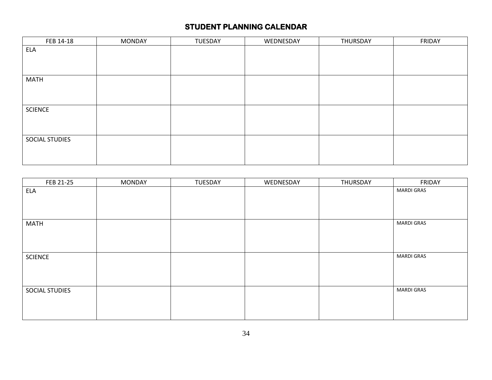| FEB 14-18      | <b>MONDAY</b> | TUESDAY | WEDNESDAY | THURSDAY | FRIDAY |
|----------------|---------------|---------|-----------|----------|--------|
| <b>ELA</b>     |               |         |           |          |        |
|                |               |         |           |          |        |
|                |               |         |           |          |        |
| <b>MATH</b>    |               |         |           |          |        |
|                |               |         |           |          |        |
|                |               |         |           |          |        |
| <b>SCIENCE</b> |               |         |           |          |        |
|                |               |         |           |          |        |
|                |               |         |           |          |        |
| SOCIAL STUDIES |               |         |           |          |        |
|                |               |         |           |          |        |
|                |               |         |           |          |        |

| FEB 21-25      | <b>MONDAY</b> | TUESDAY | WEDNESDAY | THURSDAY | FRIDAY            |
|----------------|---------------|---------|-----------|----------|-------------------|
| ELA            |               |         |           |          | <b>MARDI GRAS</b> |
|                |               |         |           |          |                   |
|                |               |         |           |          |                   |
|                |               |         |           |          |                   |
| <b>MATH</b>    |               |         |           |          | <b>MARDI GRAS</b> |
|                |               |         |           |          |                   |
|                |               |         |           |          |                   |
|                |               |         |           |          |                   |
| <b>SCIENCE</b> |               |         |           |          | <b>MARDI GRAS</b> |
|                |               |         |           |          |                   |
|                |               |         |           |          |                   |
|                |               |         |           |          |                   |
| SOCIAL STUDIES |               |         |           |          | <b>MARDI GRAS</b> |
|                |               |         |           |          |                   |
|                |               |         |           |          |                   |
|                |               |         |           |          |                   |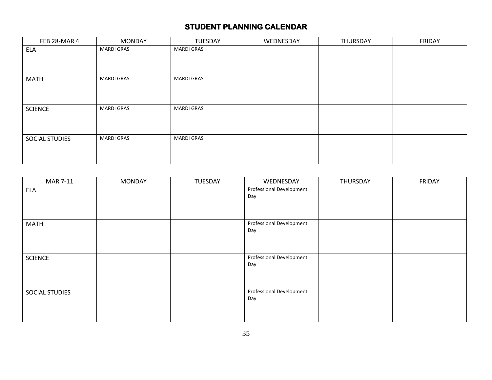| FEB 28-MAR 4          | <b>MONDAY</b>     | <b>TUESDAY</b>    | WEDNESDAY | THURSDAY | <b>FRIDAY</b> |
|-----------------------|-------------------|-------------------|-----------|----------|---------------|
| <b>ELA</b>            | <b>MARDI GRAS</b> | <b>MARDI GRAS</b> |           |          |               |
|                       |                   |                   |           |          |               |
|                       |                   |                   |           |          |               |
| <b>MATH</b>           | <b>MARDI GRAS</b> | <b>MARDI GRAS</b> |           |          |               |
|                       |                   |                   |           |          |               |
|                       |                   |                   |           |          |               |
|                       |                   |                   |           |          |               |
| <b>SCIENCE</b>        | <b>MARDI GRAS</b> | <b>MARDI GRAS</b> |           |          |               |
|                       |                   |                   |           |          |               |
|                       |                   |                   |           |          |               |
| <b>SOCIAL STUDIES</b> | <b>MARDI GRAS</b> | <b>MARDI GRAS</b> |           |          |               |
|                       |                   |                   |           |          |               |
|                       |                   |                   |           |          |               |
|                       |                   |                   |           |          |               |

| <b>MAR 7-11</b> | <b>MONDAY</b> | TUESDAY | WEDNESDAY                       | THURSDAY | <b>FRIDAY</b> |
|-----------------|---------------|---------|---------------------------------|----------|---------------|
| <b>ELA</b>      |               |         | Professional Development        |          |               |
|                 |               |         | Day                             |          |               |
|                 |               |         |                                 |          |               |
|                 |               |         |                                 |          |               |
| <b>MATH</b>     |               |         | <b>Professional Development</b> |          |               |
|                 |               |         | Day                             |          |               |
|                 |               |         |                                 |          |               |
|                 |               |         |                                 |          |               |
| <b>SCIENCE</b>  |               |         | <b>Professional Development</b> |          |               |
|                 |               |         | Day                             |          |               |
|                 |               |         |                                 |          |               |
|                 |               |         |                                 |          |               |
| SOCIAL STUDIES  |               |         | <b>Professional Development</b> |          |               |
|                 |               |         | Day                             |          |               |
|                 |               |         |                                 |          |               |
|                 |               |         |                                 |          |               |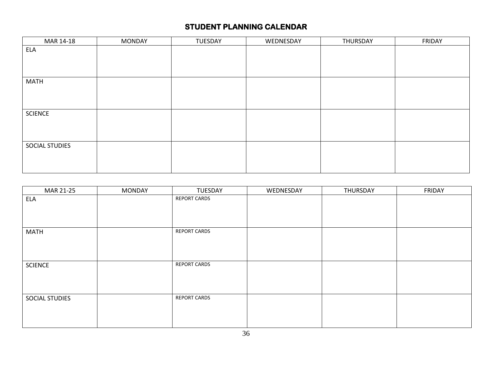| MAR 14-18      | <b>MONDAY</b> | TUESDAY | WEDNESDAY | THURSDAY | FRIDAY |
|----------------|---------------|---------|-----------|----------|--------|
| <b>ELA</b>     |               |         |           |          |        |
|                |               |         |           |          |        |
|                |               |         |           |          |        |
|                |               |         |           |          |        |
| <b>MATH</b>    |               |         |           |          |        |
|                |               |         |           |          |        |
|                |               |         |           |          |        |
| SCIENCE        |               |         |           |          |        |
|                |               |         |           |          |        |
|                |               |         |           |          |        |
|                |               |         |           |          |        |
| SOCIAL STUDIES |               |         |           |          |        |
|                |               |         |           |          |        |
|                |               |         |           |          |        |
|                |               |         |           |          |        |

| MAR 21-25      | <b>MONDAY</b> | TUESDAY             | WEDNESDAY | THURSDAY | FRIDAY |
|----------------|---------------|---------------------|-----------|----------|--------|
| <b>ELA</b>     |               | <b>REPORT CARDS</b> |           |          |        |
|                |               |                     |           |          |        |
|                |               |                     |           |          |        |
|                |               |                     |           |          |        |
| <b>MATH</b>    |               | <b>REPORT CARDS</b> |           |          |        |
|                |               |                     |           |          |        |
|                |               |                     |           |          |        |
|                |               |                     |           |          |        |
| <b>SCIENCE</b> |               | <b>REPORT CARDS</b> |           |          |        |
|                |               |                     |           |          |        |
|                |               |                     |           |          |        |
|                |               |                     |           |          |        |
| SOCIAL STUDIES |               | <b>REPORT CARDS</b> |           |          |        |
|                |               |                     |           |          |        |
|                |               |                     |           |          |        |
|                |               |                     |           |          |        |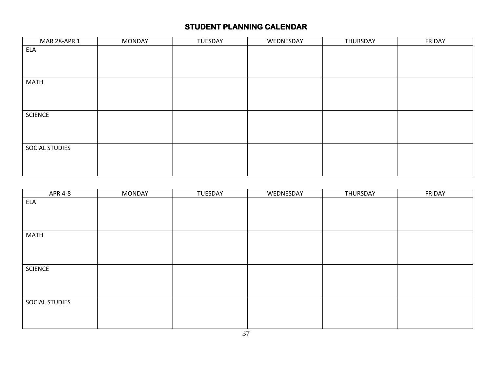| MAR 28-APR 1   | <b>MONDAY</b> | TUESDAY | WEDNESDAY | THURSDAY | FRIDAY |
|----------------|---------------|---------|-----------|----------|--------|
| <b>ELA</b>     |               |         |           |          |        |
|                |               |         |           |          |        |
|                |               |         |           |          |        |
|                |               |         |           |          |        |
| <b>MATH</b>    |               |         |           |          |        |
|                |               |         |           |          |        |
|                |               |         |           |          |        |
|                |               |         |           |          |        |
| <b>SCIENCE</b> |               |         |           |          |        |
|                |               |         |           |          |        |
|                |               |         |           |          |        |
|                |               |         |           |          |        |
| SOCIAL STUDIES |               |         |           |          |        |
|                |               |         |           |          |        |
|                |               |         |           |          |        |
|                |               |         |           |          |        |

| <b>APR 4-8</b> | <b>MONDAY</b> | TUESDAY | WEDNESDAY | THURSDAY | FRIDAY |
|----------------|---------------|---------|-----------|----------|--------|
| <b>ELA</b>     |               |         |           |          |        |
|                |               |         |           |          |        |
|                |               |         |           |          |        |
|                |               |         |           |          |        |
| <b>MATH</b>    |               |         |           |          |        |
|                |               |         |           |          |        |
|                |               |         |           |          |        |
|                |               |         |           |          |        |
| <b>SCIENCE</b> |               |         |           |          |        |
|                |               |         |           |          |        |
|                |               |         |           |          |        |
|                |               |         |           |          |        |
| SOCIAL STUDIES |               |         |           |          |        |
|                |               |         |           |          |        |
|                |               |         |           |          |        |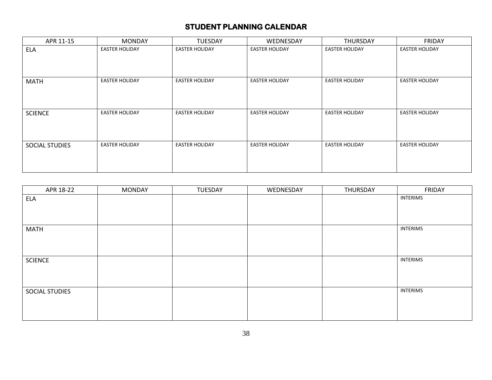| APR 11-15      | <b>MONDAY</b>         | <b>TUESDAY</b>        | WEDNESDAY             | THURSDAY              | <b>FRIDAY</b>         |
|----------------|-----------------------|-----------------------|-----------------------|-----------------------|-----------------------|
| <b>ELA</b>     | <b>EASTER HOLIDAY</b> | <b>EASTER HOLIDAY</b> | <b>EASTER HOLIDAY</b> | <b>EASTER HOLIDAY</b> | <b>EASTER HOLIDAY</b> |
|                |                       |                       |                       |                       |                       |
| <b>MATH</b>    | <b>EASTER HOLIDAY</b> | <b>EASTER HOLIDAY</b> | <b>EASTER HOLIDAY</b> | <b>EASTER HOLIDAY</b> | <b>EASTER HOLIDAY</b> |
|                |                       |                       |                       |                       |                       |
| <b>SCIENCE</b> | <b>EASTER HOLIDAY</b> | <b>EASTER HOLIDAY</b> | <b>EASTER HOLIDAY</b> | <b>EASTER HOLIDAY</b> | <b>EASTER HOLIDAY</b> |
|                |                       |                       |                       |                       |                       |
| SOCIAL STUDIES | <b>EASTER HOLIDAY</b> | <b>EASTER HOLIDAY</b> | <b>EASTER HOLIDAY</b> | <b>EASTER HOLIDAY</b> | <b>EASTER HOLIDAY</b> |
|                |                       |                       |                       |                       |                       |

| APR 18-22      | <b>MONDAY</b> | TUESDAY | WEDNESDAY | THURSDAY | FRIDAY          |
|----------------|---------------|---------|-----------|----------|-----------------|
| ELA            |               |         |           |          | <b>INTERIMS</b> |
|                |               |         |           |          |                 |
|                |               |         |           |          |                 |
| <b>MATH</b>    |               |         |           |          | <b>INTERIMS</b> |
|                |               |         |           |          |                 |
|                |               |         |           |          |                 |
|                |               |         |           |          |                 |
| <b>SCIENCE</b> |               |         |           |          | <b>INTERIMS</b> |
|                |               |         |           |          |                 |
|                |               |         |           |          |                 |
|                |               |         |           |          |                 |
| SOCIAL STUDIES |               |         |           |          | <b>INTERIMS</b> |
|                |               |         |           |          |                 |
|                |               |         |           |          |                 |
|                |               |         |           |          |                 |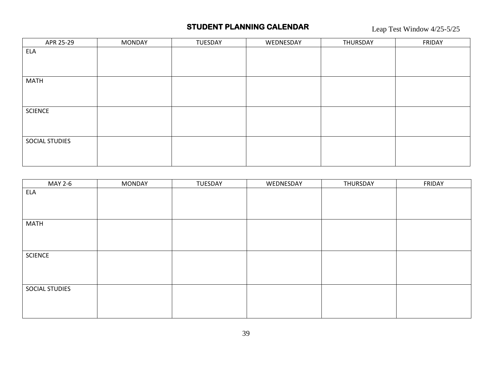Leap Test Window 4/25-5/25

| APR 25-29      | <b>MONDAY</b> | TUESDAY | WEDNESDAY | THURSDAY | FRIDAY |
|----------------|---------------|---------|-----------|----------|--------|
| <b>ELA</b>     |               |         |           |          |        |
|                |               |         |           |          |        |
|                |               |         |           |          |        |
| <b>MATH</b>    |               |         |           |          |        |
|                |               |         |           |          |        |
|                |               |         |           |          |        |
| <b>SCIENCE</b> |               |         |           |          |        |
|                |               |         |           |          |        |
|                |               |         |           |          |        |
| SOCIAL STUDIES |               |         |           |          |        |
|                |               |         |           |          |        |
|                |               |         |           |          |        |

| MAY 2-6        | <b>MONDAY</b> | TUESDAY | WEDNESDAY | THURSDAY | FRIDAY |
|----------------|---------------|---------|-----------|----------|--------|
| ELA            |               |         |           |          |        |
|                |               |         |           |          |        |
|                |               |         |           |          |        |
| <b>MATH</b>    |               |         |           |          |        |
|                |               |         |           |          |        |
|                |               |         |           |          |        |
|                |               |         |           |          |        |
| <b>SCIENCE</b> |               |         |           |          |        |
|                |               |         |           |          |        |
|                |               |         |           |          |        |
|                |               |         |           |          |        |
| SOCIAL STUDIES |               |         |           |          |        |
|                |               |         |           |          |        |
|                |               |         |           |          |        |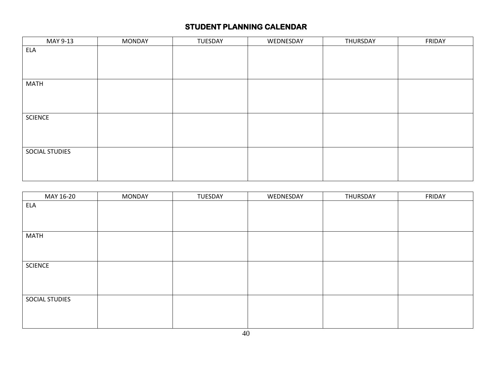| MAY 9-13       | <b>MONDAY</b> | TUESDAY | WEDNESDAY | THURSDAY | FRIDAY |
|----------------|---------------|---------|-----------|----------|--------|
| ELA            |               |         |           |          |        |
|                |               |         |           |          |        |
|                |               |         |           |          |        |
|                |               |         |           |          |        |
| <b>MATH</b>    |               |         |           |          |        |
|                |               |         |           |          |        |
|                |               |         |           |          |        |
|                |               |         |           |          |        |
| <b>SCIENCE</b> |               |         |           |          |        |
|                |               |         |           |          |        |
|                |               |         |           |          |        |
|                |               |         |           |          |        |
| SOCIAL STUDIES |               |         |           |          |        |
|                |               |         |           |          |        |
|                |               |         |           |          |        |
|                |               |         |           |          |        |

| MAY 16-20      | <b>MONDAY</b> | TUESDAY | WEDNESDAY | THURSDAY | FRIDAY |
|----------------|---------------|---------|-----------|----------|--------|
| <b>ELA</b>     |               |         |           |          |        |
|                |               |         |           |          |        |
|                |               |         |           |          |        |
| <b>MATH</b>    |               |         |           |          |        |
|                |               |         |           |          |        |
|                |               |         |           |          |        |
| <b>SCIENCE</b> |               |         |           |          |        |
|                |               |         |           |          |        |
|                |               |         |           |          |        |
| SOCIAL STUDIES |               |         |           |          |        |
|                |               |         |           |          |        |
|                |               |         |           |          |        |
|                |               |         |           |          |        |